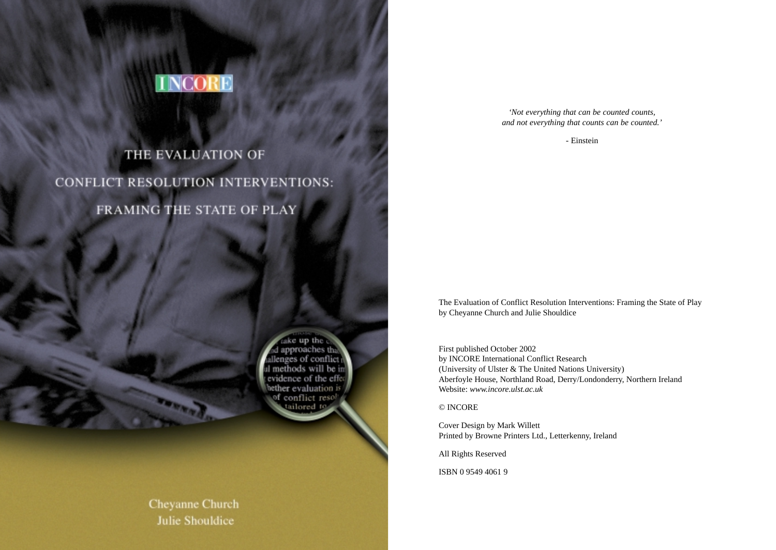

# THE EVALUATION OF CONFLICT RESOLUTION INTERVENTIONS: FRAMING THE STATE OF PLAY

take up the d approaches th allenges of conflict I methods will be evidence of the effective state of the effective state of the effective state of the state of the state of the state of the state of the state of the state of the state of the state of the state of the state of the state o of conflict resolved

Cheyanne Church **Julie Shouldice** 

*'Not everything that can be counted counts, and not everything that counts can be counted.'*

- Einstein

The Evaluation of Conflict Resolution Interventions: Framing the State of Play by Cheyanne Church and Julie Shouldice

First published October 2002 by INCORE International Conflict Research (University of Ulster & The United Nations University) Aberfoyle House, Northland Road, Derry/Londonderry, Northern Ireland Website: *www.incore.ulst.ac.uk*

© INCORE

Cover Design by Mark Willett Printed by Browne Printers Ltd., Letterkenny, Ireland

All Rights Reserved

ISBN 0 9549 4061 9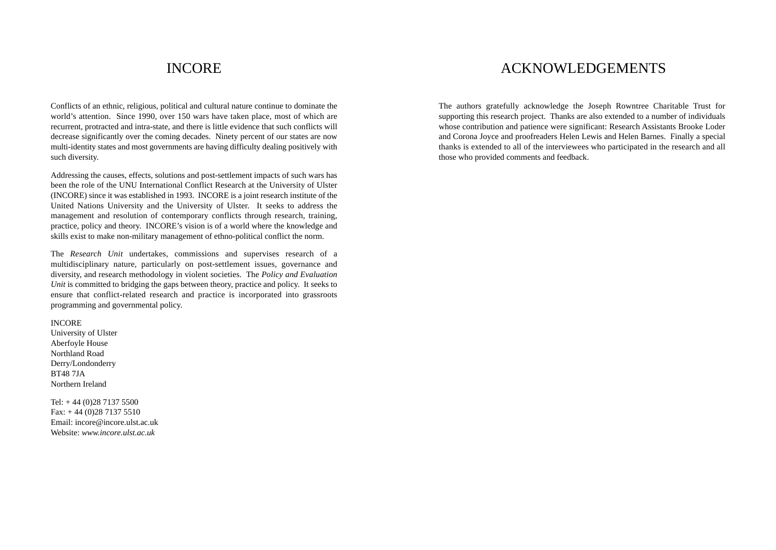### INCORE

Conflicts of an ethnic, religious, political and cultural nature continue to dominate the world's attention. Since 1990, over 150 wars have taken place, most of which are recurrent, protracted and intra-state, and there is little evidence that such conflicts will decrease significantly over the coming decades. Ninety percent of our states are now multi-identity states and most governments are having difficulty dealing positively with such diversity.

Addressing the causes, effects, solutions and post-settlement impacts of such wars has been the role of the UNU International Conflict Research at the University of Ulster (INCORE) since it was established in 1993. INCORE is a joint research institute of the United Nations University and the University of Ulster. It seeks to address the management and resolution of contemporary conflicts through research, training, practice, policy and theory. INCORE's vision is of a world where the knowledge and skills exist to make non-military management of ethno-political conflict the norm.

The *Research Unit* undertakes, commissions and supervises research of a multidisciplinary nature, particularly on post-settlement issues, governance and diversity, and research methodology in violent societies. The *Policy and Evaluation Unit* is committed to bridging the gaps between theory, practice and policy. It seeks to ensure that conflict-related research and practice is incorporated into grassroots programming and governmental policy.

#### INCORE

University of Ulster Aberfoyle House Northland Road Derry/Londonderry BT48 7JA Northern Ireland

Tel: + 44 (0)28 7137 5500 Fax: + 44 (0)28 7137 5510 Email: incore@incore.ulst.ac.uk Website: *www.incore.ulst.ac.uk*

### ACKNOWLEDGEMENTS

The authors gratefully acknowledge the Joseph Rowntree Charitable Trust for supporting this research project. Thanks are also extended to a number of individuals whose contribution and patience were significant: Research Assistants Brooke Loder and Corona Joyce and proofreaders Helen Lewis and Helen Barnes. Finally a special thanks is extended to all of the interviewees who participated in the research and all those who provided comments and feedback.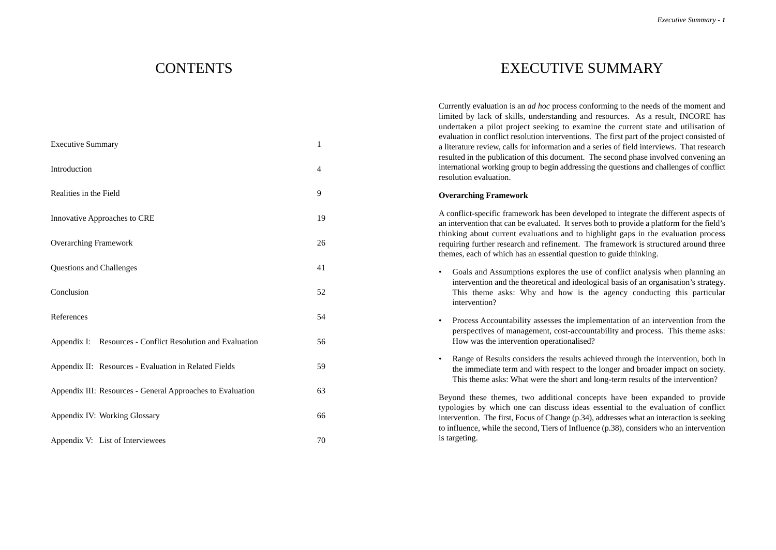### **CONTENTS**

| <b>Executive Summary</b>                                   | 1  |
|------------------------------------------------------------|----|
| Introduction                                               | 4  |
| Realities in the Field                                     | 9  |
| Innovative Approaches to CRE                               | 19 |
| <b>Overarching Framework</b>                               | 26 |
| Questions and Challenges                                   | 41 |
| Conclusion                                                 | 52 |
| References                                                 | 54 |
| Appendix I: Resources - Conflict Resolution and Evaluation | 56 |
| Appendix II: Resources - Evaluation in Related Fields      | 59 |
| Appendix III: Resources - General Approaches to Evaluation | 63 |
| <b>Appendix IV: Working Glossary</b>                       | 66 |
| Appendix V: List of Interviewees                           | 70 |

### EXECUTIVE SUMMARY

Currently evaluation is an *ad hoc* process conforming to the needs of the moment and limited by lack of skills, understanding and resources. As a result, INCORE has undertaken a pilot project seeking to examine the current state and utilisation of evaluation in conflict resolution interventions. The first part of the project consisted of a literature review, calls for information and a series of field interviews. That research resulted in the publication of this document. The second phase involved convening an international working group to begin addressing the questions and challenges of conflict resolution evaluation.

#### **Overarching Framework**

A conflict-specific framework has been developed to integrate the different aspects of an intervention that can be evaluated. It serves both to provide a platform for the field's thinking about current evaluations and to highlight gaps in the evaluation process requiring further research and refinement. The framework is structured around three themes, each of which has an essential question to guide thinking.

- Goals and Assumptions explores the use of conflict analysis when planning an intervention and the theoretical and ideological basis of an organisation's strategy. This theme asks: Why and how is the agency conducting this particular intervention?
- Process Accountability assesses the implementation of an intervention from the perspectives of management, cost-accountability and process. This theme asks: How was the intervention operationalised?
- Range of Results considers the results achieved through the intervention, both in the immediate term and with respect to the longer and broader impact on society. This theme asks: What were the short and long-term results of the intervention?

Beyond these themes, two additional concepts have been expanded to provide typologies by which one can discuss ideas essential to the evaluation of conflict intervention. The first, Focus of Change (p.34), addresses what an interaction is seeking to influence, while the second, Tiers of Influence (p.38), considers who an intervention is targeting.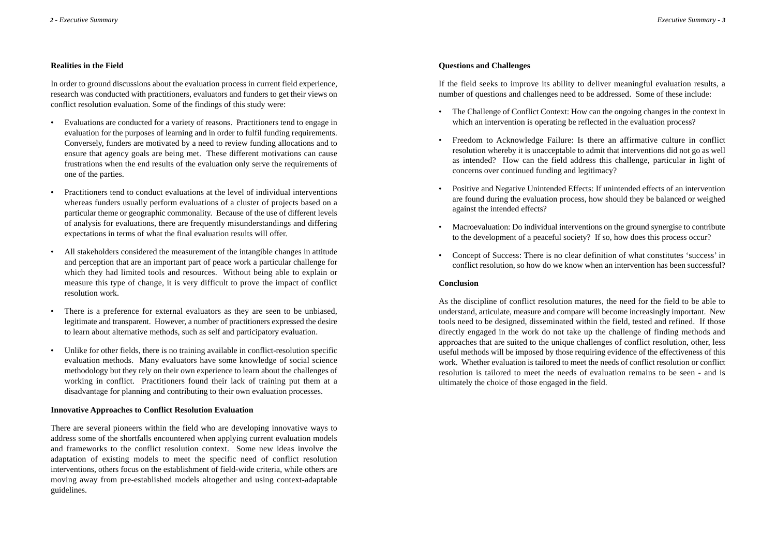#### **Realities in the Field**

In order to ground discussions about the evaluation process in current field experience, research was conducted with practitioners, evaluators and funders to get their views on conflict resolution evaluation. Some of the findings of this study were:

- Evaluations are conducted for a variety of reasons. Practitioners tend to engage in evaluation for the purposes of learning and in order to fulfil funding requirements. Conversely, funders are motivated by a need to review funding allocations and to ensure that agency goals are being met. These different motivations can cause frustrations when the end results of the evaluation only serve the requirements of one of the parties.
- Practitioners tend to conduct evaluations at the level of individual interventions whereas funders usually perform evaluations of a cluster of projects based on a particular theme or geographic commonality. Because of the use of different levels of analysis for evaluations, there are frequently misunderstandings and differing expectations in terms of what the final evaluation results will offer.
- All stakeholders considered the measurement of the intangible changes in attitude and perception that are an important part of peace work a particular challenge for which they had limited tools and resources. Without being able to explain or measure this type of change, it is very difficult to prove the impact of conflict resolution work.
- There is a preference for external evaluators as they are seen to be unbiased, legitimate and transparent. However, a number of practitioners expressed the desire to learn about alternative methods, such as self and participatory evaluation.
- Unlike for other fields, there is no training available in conflict-resolution specific evaluation methods. Many evaluators have some knowledge of social science methodology but they rely on their own experience to learn about the challenges of working in conflict. Practitioners found their lack of training put them at a disadvantage for planning and contributing to their own evaluation processes.

#### **Innovative Approaches to Conflict Resolution Evaluation**

There are several pioneers within the field who are developing innovative ways to address some of the shortfalls encountered when applying current evaluation models and frameworks to the conflict resolution context. Some new ideas involve the adaptation of existing models to meet the specific need of conflict resolution interventions, others focus on the establishment of field-wide criteria, while others are moving away from pre-established models altogether and using context-adaptable guidelines.

#### **Questions and Challenges**

If the field seeks to improve its ability to deliver meaningful evaluation results, a number of questions and challenges need to be addressed. Some of these include:

- The Challenge of Conflict Context: How can the ongoing changes in the context in which an intervention is operating be reflected in the evaluation process?
- Freedom to Acknowledge Failure: Is there an affirmative culture in conflict resolution whereby it is unacceptable to admit that interventions did not go as well as intended? How can the field address this challenge, particular in light of concerns over continued funding and legitimacy?
- Positive and Negative Unintended Effects: If unintended effects of an intervention are found during the evaluation process, how should they be balanced or weighed against the intended effects?
- Macroevaluation: Do individual interventions on the ground synergise to contribute to the development of a peaceful society? If so, how does this process occur?
- Concept of Success: There is no clear definition of what constitutes 'success' in conflict resolution, so how do we know when an intervention has been successful?

#### **Conclusion**

As the discipline of conflict resolution matures, the need for the field to be able to understand, articulate, measure and compare will become increasingly important. New tools need to be designed, disseminated within the field, tested and refined. If those directly engaged in the work do not take up the challenge of finding methods and approaches that are suited to the unique challenges of conflict resolution, other, less useful methods will be imposed by those requiring evidence of the effectiveness of this work. Whether evaluation is tailored to meet the needs of conflict resolution or conflict resolution is tailored to meet the needs of evaluation remains to be seen - and is ultimately the choice of those engaged in the field.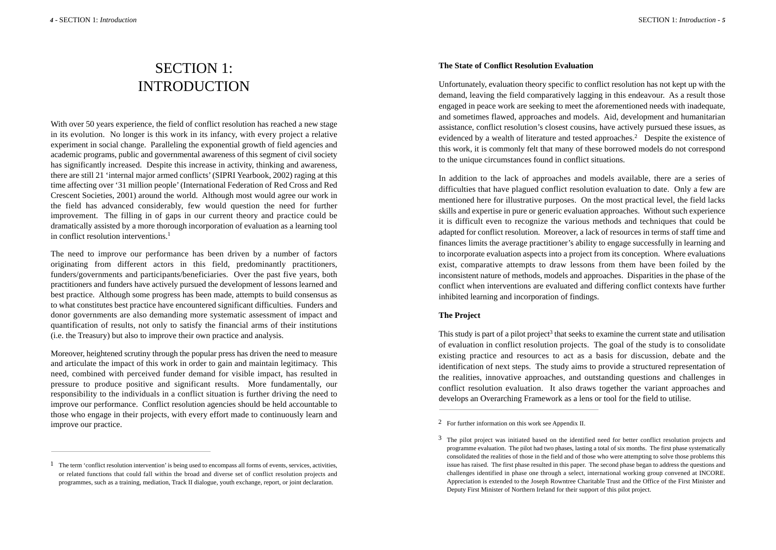## SECTION 1: INTRODUCTION

With over 50 years experience, the field of conflict resolution has reached a new stage in its evolution. No longer is this work in its infancy, with every project a relative experiment in social change. Paralleling the exponential growth of field agencies and academic programs, public and governmental awareness of this segment of civil society has significantly increased. Despite this increase in activity, thinking and awareness, there are still 21 'internal major armed conflicts'(SIPRI Yearbook, 2002) raging at this time affecting over '31 million people'(International Federation of Red Cross and Red Crescent Societies, 2001) around the world. Although most would agree our work in the field has advanced considerably, few would question the need for further improvement. The filling in of gaps in our current theory and practice could be dramatically assisted by a more thorough incorporation of evaluation as a learning tool in conflict resolution interventions.<sup>1</sup>

The need to improve our performance has been driven by a number of factors originating from different actors in this field, predominantly practitioners, funders/governments and participants/beneficiaries. Over the past five years, both practitioners and funders have actively pursued the development of lessons learned and best practice. Although some progress has been made, attempts to build consensus as to what constitutes best practice have encountered significant difficulties. Funders and donor governments are also demanding more systematic assessment of impact and quantification of results, not only to satisfy the financial arms of their institutions (i.e. the Treasury) but also to improve their own practice and analysis.

Moreover, heightened scrutiny through the popular press has driven the need to measure and articulate the impact of this work in order to gain and maintain legitimacy. This need, combined with perceived funder demand for visible impact, has resulted in pressure to produce positive and significant results. More fundamentally, our responsibility to the individuals in a conflict situation is further driving the need to improve our performance. Conflict resolution agencies should be held accountable to those who engage in their projects, with every effort made to continuously learn and improve our practice.

#### **The State of Conflict Resolution Evaluation**

Unfortunately, evaluation theory specific to conflict resolution has not kept up with the demand, leaving the field comparatively lagging in this endeavour. As a result those engaged in peace work are seeking to meet the aforementioned needs with inadequate, and sometimes flawed, approaches and models. Aid, development and humanitarian assistance, conflict resolution's closest cousins, have actively pursued these issues, as evidenced by a wealth of literature and tested approaches.<sup>2</sup> Despite the existence of this work, it is commonly felt that many of these borrowed models do not correspond to the unique circumstances found in conflict situations.

In addition to the lack of approaches and models available, there are a series of difficulties that have plagued conflict resolution evaluation to date. Only a few are mentioned here for illustrative purposes. On the most practical level, the field lacks skills and expertise in pure or generic evaluation approaches. Without such experience it is difficult even to recognize the various methods and techniques that could be adapted for conflict resolution. Moreover, a lack of resources in terms of staff time and finances limits the average practitioner's ability to engage successfully in learning and to incorporate evaluation aspects into a project from its conception. Where evaluations exist, comparative attempts to draw lessons from them have been foiled by the inconsistent nature of methods, models and approaches. Disparities in the phase of the conflict when interventions are evaluated and differing conflict contexts have further inhibited learning and incorporation of findings.

#### **The Project**

This study is part of a pilot project<sup>3</sup> that seeks to examine the current state and utilisation of evaluation in conflict resolution projects. The goal of the study is to consolidate existing practice and resources to act as a basis for discussion, debate and the identification of next steps. The study aims to provide a structured representation of the realities, innovative approaches, and outstanding questions and challenges in conflict resolution evaluation. It also draws together the variant approaches and develops an Overarching Framework as a lens or tool for the field to utilise.

 $1$  The term 'conflict resolution intervention' is being used to encompass all forms of events, services, activities, or related functions that could fall within the broad and diverse set of conflict resolution projects and programmes, such as a training, mediation, Track II dialogue, youth exchange, report, or joint declaration.

<sup>2</sup> For further information on this work see Appendix II.

<sup>&</sup>lt;sup>3</sup> The pilot project was initiated based on the identified need for better conflict resolution projects and programme evaluation. The pilot had two phases, lasting a total of six months. The first phase systematically consolidated the realities of those in the field and of those who were attempting to solve those problems this issue has raised. The first phase resulted in this paper. The second phase began to address the questions and challenges identified in phase one through a select, international working group convened at INCORE. Appreciation is extended to the Joseph Rowntree Charitable Trust and the Office of the First Minister and Deputy First Minister of Northern Ireland for their support of this pilot project.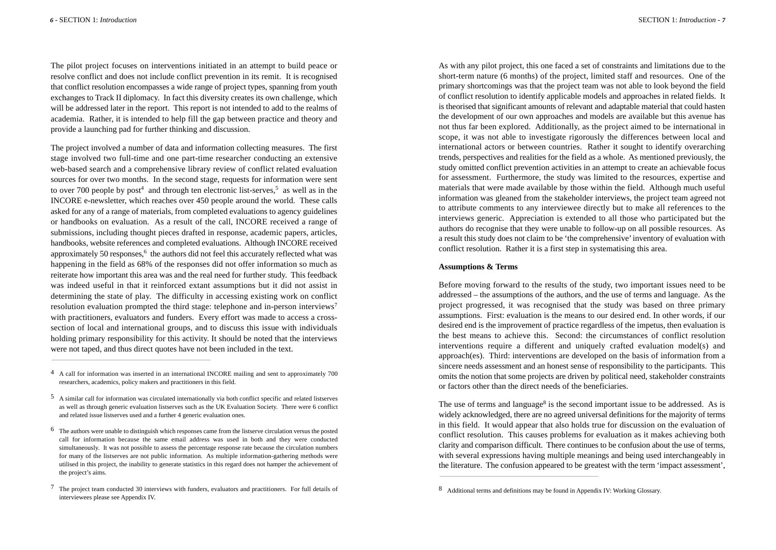The pilot project focuses on interventions initiated in an attempt to build peace or resolve conflict and does not include conflict prevention in its remit. It is recognised that conflict resolution encompasses a wide range of project types, spanning from youth

exchanges to Track II diplomacy. In fact this diversity creates its own challenge, which will be addressed later in the report. This report is not intended to add to the realms of academia. Rather, it is intended to help fill the gap between practice and theory and provide a launching pad for further thinking and discussion.

The project involved a number of data and information collecting measures. The first stage involved two full-time and one part-time researcher conducting an extensive web-based search and a comprehensive library review of conflict related evaluation sources for over two months. In the second stage, requests for information were sent to over 700 people by post<sup>4</sup> and through ten electronic list-serves,<sup>5</sup> as well as in the INCORE e-newsletter, which reaches over 450 people around the world. These calls asked for any of a range of materials, from completed evaluations to agency guidelines or handbooks on evaluation. As a result of the call, INCORE received a range of submissions, including thought pieces drafted in response, academic papers, articles, handbooks, website references and completed evaluations. Although INCORE received approximately 50 responses, $6$  the authors did not feel this accurately reflected what was happening in the field as 68% of the responses did not offer information so much as reiterate how important this area was and the real need for further study. This feedback was indeed useful in that it reinforced extant assumptions but it did not assist in determining the state of play. The difficulty in accessing existing work on conflict resolution evaluation prompted the third stage: telephone and in-person interviews<sup>7</sup> with practitioners, evaluators and funders. Every effort was made to access a crosssection of local and international groups, and to discuss this issue with individuals holding primary responsibility for this activity. It should be noted that the interviews were not taped, and thus direct quotes have not been included in the text.

As with any pilot project, this one faced a set of constraints and limitations due to the short-term nature (6 months) of the project, limited staff and resources. One of the primary shortcomings was that the project team was not able to look beyond the field of conflict resolution to identify applicable models and approaches in related fields. It is theorised that significant amounts of relevant and adaptable material that could hasten the development of our own approaches and models are available but this avenue has not thus far been explored. Additionally, as the project aimed to be international in scope, it was not able to investigate rigorously the differences between local and international actors or between countries. Rather it sought to identify overarching trends, perspectives and realities for the field as a whole. As mentioned previously, the study omitted conflict prevention activities in an attempt to create an achievable focus for assessment. Furthermore, the study was limited to the resources, expertise and materials that were made available by those within the field. Although much useful information was gleaned from the stakeholder interviews, the project team agreed not to attribute comments to any interviewee directly but to make all references to the interviews generic. Appreciation is extended to all those who participated but the authors do recognise that they were unable to follow-up on all possible resources. As a result this study does not claim to be 'the comprehensive'inventory of evaluation with conflict resolution. Rather it is a first step in systematising this area.

#### **Assumptions & Terms**

Before moving forward to the results of the study, two important issues need to be addressed – the assumptions of the authors, and the use of terms and language. As the project progressed, it was recognised that the study was based on three primary assumptions. First: evaluation is the means to our desired end. In other words, if our desired end is the improvement of practice regardless of the impetus, then evaluation is the best means to achieve this. Second: the circumstances of conflict resolution interventions require a different and uniquely crafted evaluation model(s) and approach(es). Third: interventions are developed on the basis of information from a sincere needs assessment and an honest sense of responsibility to the participants. This omits the notion that some projects are driven by political need, stakeholder constraints or factors other than the direct needs of the beneficiaries.

The use of terms and language<sup>8</sup> is the second important issue to be addressed. As is widely acknowledged, there are no agreed universal definitions for the majority of terms in this field. It would appear that also holds true for discussion on the evaluation of conflict resolution. This causes problems for evaluation as it makes achieving both clarity and comparison difficult. There continues to be confusion about the use of terms, with several expressions having multiple meanings and being used interchangeably in the literature. The confusion appeared to be greatest with the term 'impact assessment',

<sup>4</sup> A call for information was inserted in an international INCORE mailing and sent to approximately 700 researchers, academics, policy makers and practitioners in this field.

<sup>5</sup> A similar call for information was circulated internationally via both conflict specific and related listserves as well as through generic evaluation listserves such as the UK Evaluation Society. There were 6 conflict and related issue listserves used and a further 4 generic evaluation ones.

<sup>6</sup> The authors were unable to distinguish which responses came from the listserve circulation versus the posted call for information because the same email address was used in both and they were conducted simultaneously. It was not possible to assess the percentage response rate because the circulation numbers for many of the listserves are not public information. As multiple information-gathering methods were utilised in this project, the inability to generate statistics in this regard does not hamper the achievement of the project's aims.

 $\frac{7}{1}$  The project team conducted 30 interviews with funders, evaluators and practitioners. For full details of interviewees please see Appendix IV.

<sup>8</sup> Additional terms and definitions may be found in Appendix IV: Working Glossary.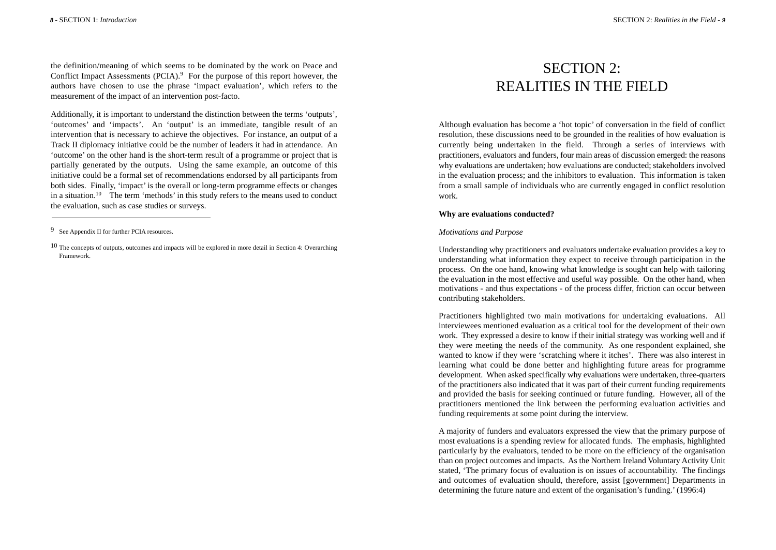the definition/meaning of which seems to be dominated by the work on Peace and Conflict Impact Assessments (PCIA).<sup>9</sup> For the purpose of this report however, the authors have chosen to use the phrase 'impact evaluation', which refers to the measurement of the impact of an intervention post-facto.

Additionally, it is important to understand the distinction between the terms 'outputs', 'outcomes' and 'impacts'. An 'output' is an immediate, tangible result of an intervention that is necessary to achieve the objectives. For instance, an output of a Track II diplomacy initiative could be the number of leaders it had in attendance. An 'outcome' on the other hand is the short-term result of a programme or project that is partially generated by the outputs. Using the same example, an outcome of this initiative could be a formal set of recommendations endorsed by all participants from both sides. Finally, 'impact' is the overall or long-term programme effects or changes in a situation.10 The term 'methods' in this study refers to the means used to conduct the evaluation, such as case studies or surveys.

## SECTION 2: REALITIES IN THE FIELD

Although evaluation has become a 'hot topic' of conversation in the field of conflict resolution, these discussions need to be grounded in the realities of how evaluation is currently being undertaken in the field. Through a series of interviews with practitioners, evaluators and funders, four main areas of discussion emerged: the reasons why evaluations are undertaken; how evaluations are conducted; stakeholders involved in the evaluation process; and the inhibitors to evaluation. This information is taken from a small sample of individuals who are currently engaged in conflict resolution work.

#### **Why are evaluations conducted?**

#### *Motivations and Purpose*

Understanding why practitioners and evaluators undertake evaluation provides a key to understanding what information they expect to receive through participation in the process. On the one hand, knowing what knowledge is sought can help with tailoring the evaluation in the most effective and useful way possible. On the other hand, when motivations - and thus expectations - of the process differ, friction can occur between contributing stakeholders.

Practitioners highlighted two main motivations for undertaking evaluations. All interviewees mentioned evaluation as a critical tool for the development of their own work. They expressed a desire to know if their initial strategy was working well and if they were meeting the needs of the community. As one respondent explained, she wanted to know if they were 'scratching where it itches'. There was also interest in learning what could be done better and highlighting future areas for programme development. When asked specifically why evaluations were undertaken, three-quarters of the practitioners also indicated that it was part of their current funding requirements and provided the basis for seeking continued or future funding. However, all of the practitioners mentioned the link between the performing evaluation activities and funding requirements at some point during the interview.

A majority of funders and evaluators expressed the view that the primary purpose of most evaluations is a spending review for allocated funds. The emphasis, highlighted particularly by the evaluators, tended to be more on the efficiency of the organisation than on project outcomes and impacts. As the Northern Ireland Voluntary Activity Unit stated, 'The primary focus of evaluation is on issues of accountability. The findings and outcomes of evaluation should, therefore, assist [government] Departments in determining the future nature and extent of the organisation's funding.' (1996:4)

<sup>9</sup> See Appendix II for further PCIA resources.

<sup>10</sup> The concepts of outputs, outcomes and impacts will be explored in more detail in Section 4: Overarching Framework.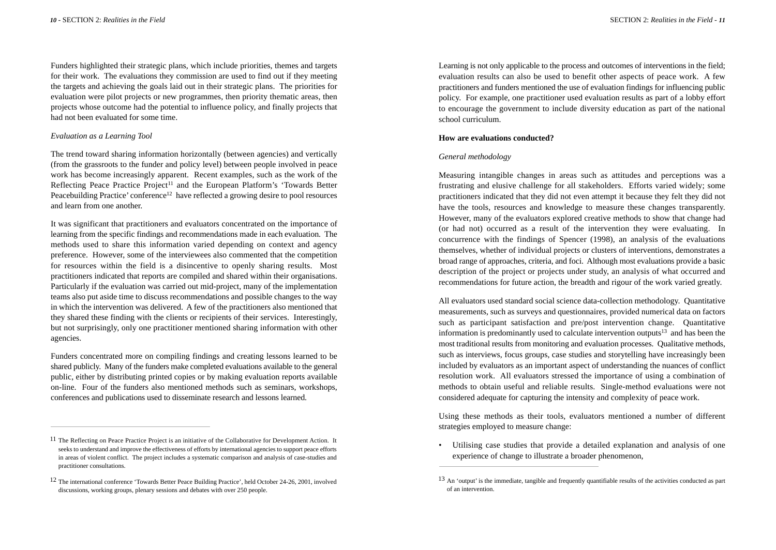Funders highlighted their strategic plans, which include priorities, themes and targets for their work. The evaluations they commission are used to find out if they meeting the targets and achieving the goals laid out in their strategic plans. The priorities for evaluation were pilot projects or new programmes, then priority thematic areas, then projects whose outcome had the potential to influence policy, and finally projects that had not been evaluated for some time.

#### *Evaluation as a Learning Tool*

The trend toward sharing information horizontally (between agencies) and vertically (from the grassroots to the funder and policy level) between people involved in peace work has become increasingly apparent. Recent examples, such as the work of the Reflecting Peace Practice Project<sup>11</sup> and the European Platform's 'Towards Better Peacebuilding Practice' conference<sup>12</sup> have reflected a growing desire to pool resources and learn from one another.

It was significant that practitioners and evaluators concentrated on the importance of learning from the specific findings and recommendations made in each evaluation. The methods used to share this information varied depending on context and agency preference. However, some of the interviewees also commented that the competition for resources within the field is a disincentive to openly sharing results. Most practitioners indicated that reports are compiled and shared within their organisations. Particularly if the evaluation was carried out mid-project, many of the implementation teams also put aside time to discuss recommendations and possible changes to the way in which the intervention was delivered. A few of the practitioners also mentioned that they shared these finding with the clients or recipients of their services. Interestingly, but not surprisingly, only one practitioner mentioned sharing information with other agencies.

Funders concentrated more on compiling findings and creating lessons learned to be shared publicly. Many of the funders make completed evaluations available to the general public, either by distributing printed copies or by making evaluation reports available on-line. Four of the funders also mentioned methods such as seminars, workshops, conferences and publications used to disseminate research and lessons learned.

Learning is not only applicable to the process and outcomes of interventions in the field; evaluation results can also be used to benefit other aspects of peace work. A few practitioners and funders mentioned the use of evaluation findings for influencing public policy. For example, one practitioner used evaluation results as part of a lobby effort to encourage the government to include diversity education as part of the national school curriculum.

#### **How are evaluations conducted?**

#### *General methodology*

Measuring intangible changes in areas such as attitudes and perceptions was a frustrating and elusive challenge for all stakeholders. Efforts varied widely; some practitioners indicated that they did not even attempt it because they felt they did not have the tools, resources and knowledge to measure these changes transparently. However, many of the evaluators explored creative methods to show that change had (or had not) occurred as a result of the intervention they were evaluating. In concurrence with the findings of Spencer (1998), an analysis of the evaluations themselves, whether of individual projects or clusters of interventions, demonstrates a broad range of approaches, criteria, and foci. Although most evaluations provide a basic description of the project or projects under study, an analysis of what occurred and recommendations for future action, the breadth and rigour of the work varied greatly.

All evaluators used standard social science data-collection methodology. Quantitative measurements, such as surveys and questionnaires, provided numerical data on factors such as participant satisfaction and pre/post intervention change. Quantitative information is predominantly used to calculate intervention outputs $13$  and has been the most traditional results from monitoring and evaluation processes. Qualitative methods, such as interviews, focus groups, case studies and storytelling have increasingly been included by evaluators as an important aspect of understanding the nuances of conflict resolution work. All evaluators stressed the importance of using a combination of methods to obtain useful and reliable results. Single-method evaluations were not considered adequate for capturing the intensity and complexity of peace work.

Using these methods as their tools, evaluators mentioned a number of different strategies employed to measure change:

• Utilising case studies that provide a detailed explanation and analysis of one experience of change to illustrate a broader phenomenon,

<sup>11</sup> The Reflecting on Peace Practice Project is an initiative of the Collaborative for Development Action. It seeks to understand and improve the effectiveness of efforts by international agencies to support peace efforts in areas of violent conflict. The project includes a systematic comparison and analysis of case-studies and practitioner consultations.

<sup>12</sup> The international conference 'Towards Better Peace Building Practice', held October 24-26, 2001, involved discussions, working groups, plenary sessions and debates with over 250 people.

<sup>13</sup> An 'output' is the immediate, tangible and frequently quantifiable results of the activities conducted as part of an intervention.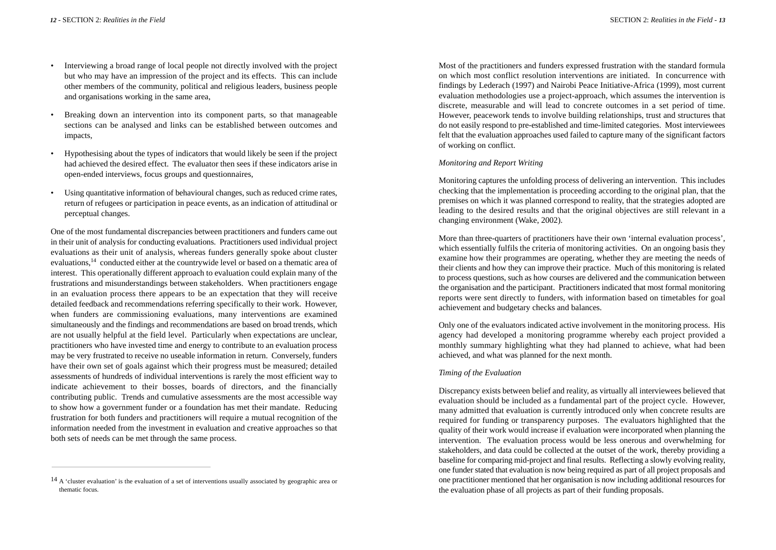- Interviewing a broad range of local people not directly involved with the project but who may have an impression of the project and its effects. This can include other members of the community, political and religious leaders, business people and organisations working in the same area,
- Breaking down an intervention into its component parts, so that manageable sections can be analysed and links can be established between outcomes and impacts,
- Hypothesising about the types of indicators that would likely be seen if the project had achieved the desired effect. The evaluator then sees if these indicators arise in open-ended interviews, focus groups and questionnaires,
- Using quantitative information of behavioural changes, such as reduced crime rates, return of refugees or participation in peace events, as an indication of attitudinal or perceptual changes.

One of the most fundamental discrepancies between practitioners and funders came out in their unit of analysis for conducting evaluations. Practitioners used individual project evaluations as their unit of analysis, whereas funders generally spoke about cluster evaluations,<sup>14</sup> conducted either at the countrywide level or based on a thematic area of interest. This operationally different approach to evaluation could explain many of the frustrations and misunderstandings between stakeholders. When practitioners engage in an evaluation process there appears to be an expectation that they will receive detailed feedback and recommendations referring specifically to their work. However, when funders are commissioning evaluations, many interventions are examined simultaneously and the findings and recommendations are based on broad trends, which are not usually helpful at the field level. Particularly when expectations are unclear, practitioners who have invested time and energy to contribute to an evaluation process may be very frustrated to receive no useable information in return. Conversely, funders have their own set of goals against which their progress must be measured; detailed assessments of hundreds of individual interventions is rarely the most efficient way to indicate achievement to their bosses, boards of directors, and the financially contributing public. Trends and cumulative assessments are the most accessible way to show how a government funder or a foundation has met their mandate. Reducing frustration for both funders and practitioners will require a mutual recognition of the information needed from the investment in evaluation and creative approaches so that both sets of needs can be met through the same process.

Most of the practitioners and funders expressed frustration with the standard formula on which most conflict resolution interventions are initiated. In concurrence with findings by Lederach (1997) and Nairobi Peace Initiative-Africa (1999), most current evaluation methodologies use a project-approach, which assumes the intervention is discrete, measurable and will lead to concrete outcomes in a set period of time. However, peacework tends to involve building relationships, trust and structures that do not easily respond to pre-established and time-limited categories. Most interviewees felt that the evaluation approaches used failed to capture many of the significant factors of working on conflict.

#### *Monitoring and Report Writing*

Monitoring captures the unfolding process of delivering an intervention. This includes checking that the implementation is proceeding according to the original plan, that the premises on which it was planned correspond to reality, that the strategies adopted are leading to the desired results and that the original objectives are still relevant in a changing environment (Wake, 2002).

More than three-quarters of practitioners have their own 'internal evaluation process', which essentially fulfils the criteria of monitoring activities. On an ongoing basis they examine how their programmes are operating, whether they are meeting the needs of their clients and how they can improve their practice. Much of this monitoring is related to process questions, such as how courses are delivered and the communication between the organisation and the participant. Practitioners indicated that most formal monitoring reports were sent directly to funders, with information based on timetables for goal achievement and budgetary checks and balances.

Only one of the evaluators indicated active involvement in the monitoring process. His agency had developed a monitoring programme whereby each project provided a monthly summary highlighting what they had planned to achieve, what had been achieved, and what was planned for the next month.

#### *Timing of the Evaluation*

Discrepancy exists between belief and reality, as virtually all interviewees believed that evaluation should be included as a fundamental part of the project cycle. However, many admitted that evaluation is currently introduced only when concrete results are required for funding or transparency purposes. The evaluators highlighted that the quality of their work would increase if evaluation were incorporated when planning the intervention. The evaluation process would be less onerous and overwhelming for stakeholders, and data could be collected at the outset of the work, thereby providing a baseline for comparing mid-project and final results. Reflecting a slowly evolving reality, one funder stated that evaluation is now being required as part of all project proposals and one practitioner mentioned that her organisation is now including additional resources for the evaluation phase of all projects as part of their funding proposals.

<sup>14</sup> A 'cluster evaluation' is the evaluation of a set of interventions usually associated by geographic area or thematic focus.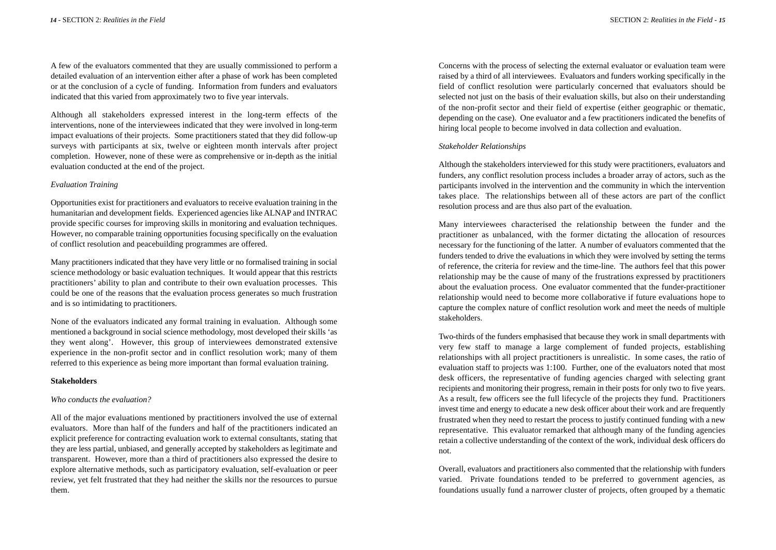SECTION 2: *Realities in the Field* - *15*

A few of the evaluators commented that they are usually commissioned to perform a detailed evaluation of an intervention either after a phase of work has been completed or at the conclusion of a cycle of funding. Information from funders and evaluators indicated that this varied from approximately two to five year intervals.

Although all stakeholders expressed interest in the long-term effects of the interventions, none of the interviewees indicated that they were involved in long-term impact evaluations of their projects. Some practitioners stated that they did follow-up surveys with participants at six, twelve or eighteen month intervals after project completion. However, none of these were as comprehensive or in-depth as the initial evaluation conducted at the end of the project.

#### *Evaluation Training*

Opportunities exist for practitioners and evaluators to receive evaluation training in the humanitarian and development fields. Experienced agencies like ALNAP and INTRAC provide specific courses for improving skills in monitoring and evaluation techniques. However, no comparable training opportunities focusing specifically on the evaluation of conflict resolution and peacebuilding programmes are offered.

Many practitioners indicated that they have very little or no formalised training in social science methodology or basic evaluation techniques. It would appear that this restricts practitioners' ability to plan and contribute to their own evaluation processes. This could be one of the reasons that the evaluation process generates so much frustration and is so intimidating to practitioners.

None of the evaluators indicated any formal training in evaluation. Although some mentioned a background in social science methodology, most developed their skills 'as they went along'. However, this group of interviewees demonstrated extensive experience in the non-profit sector and in conflict resolution work; many of them referred to this experience as being more important than formal evaluation training.

#### **Stakeholders**

#### *Who conducts the evaluation?*

All of the major evaluations mentioned by practitioners involved the use of external evaluators. More than half of the funders and half of the practitioners indicated an explicit preference for contracting evaluation work to external consultants, stating that they are less partial, unbiased, and generally accepted by stakeholders as legitimate and transparent. However, more than a third of practitioners also expressed the desire to explore alternative methods, such as participatory evaluation, self-evaluation or peer review, yet felt frustrated that they had neither the skills nor the resources to pursue them.

Concerns with the process of selecting the external evaluator or evaluation team were raised by a third of all interviewees. Evaluators and funders working specifically in the field of conflict resolution were particularly concerned that evaluators should be selected not just on the basis of their evaluation skills, but also on their understanding of the non-profit sector and their field of expertise (either geographic or thematic, depending on the case). One evaluator and a few practitioners indicated the benefits of hiring local people to become involved in data collection and evaluation.

#### *Stakeholder Relationships*

Although the stakeholders interviewed for this study were practitioners, evaluators and funders, any conflict resolution process includes a broader array of actors, such as the participants involved in the intervention and the community in which the intervention takes place. The relationships between all of these actors are part of the conflict resolution process and are thus also part of the evaluation.

Many interviewees characterised the relationship between the funder and the practitioner as unbalanced, with the former dictating the allocation of resources necessary for the functioning of the latter. A number of evaluators commented that the funders tended to drive the evaluations in which they were involved by setting the terms of reference, the criteria for review and the time-line. The authors feel that this power relationship may be the cause of many of the frustrations expressed by practitioners about the evaluation process. One evaluator commented that the funder-practitioner relationship would need to become more collaborative if future evaluations hope to capture the complex nature of conflict resolution work and meet the needs of multiple stakeholders.

Two-thirds of the funders emphasised that because they work in small departments with very few staff to manage a large complement of funded projects, establishing relationships with all project practitioners is unrealistic. In some cases, the ratio of evaluation staff to projects was 1:100. Further, one of the evaluators noted that most desk officers, the representative of funding agencies charged with selecting grant recipients and monitoring their progress, remain in their posts for only two to five years. As a result, few officers see the full lifecycle of the projects they fund. Practitioners invest time and energy to educate a new desk officer about their work and are frequently frustrated when they need to restart the process to justify continued funding with a new representative. This evaluator remarked that although many of the funding agencies retain a collective understanding of the context of the work, individual desk officers do not.

Overall, evaluators and practitioners also commented that the relationship with funders varied. Private foundations tended to be preferred to government agencies, as foundations usually fund a narrower cluster of projects, often grouped by a thematic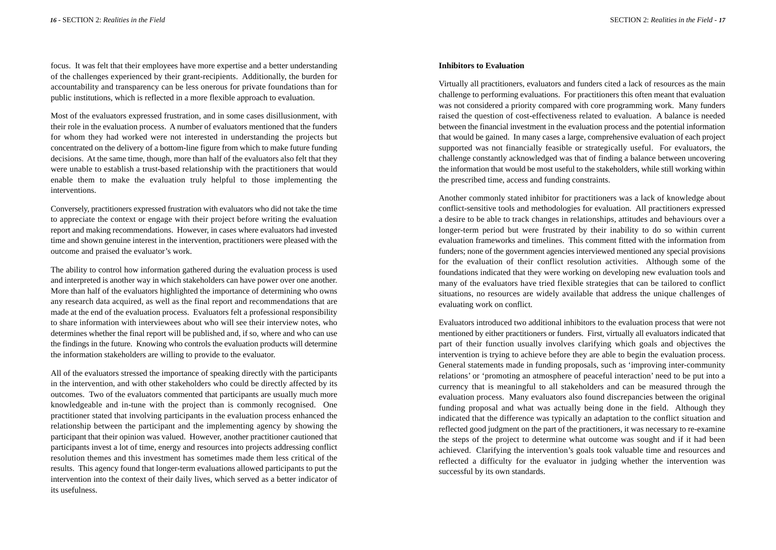focus. It was felt that their employees have more expertise and a better understanding of the challenges experienced by their grant-recipients. Additionally, the burden for accountability and transparency can be less onerous for private foundations than for public institutions, which is reflected in a more flexible approach to evaluation.

Most of the evaluators expressed frustration, and in some cases disillusionment, with their role in the evaluation process. A number of evaluators mentioned that the funders for whom they had worked were not interested in understanding the projects but concentrated on the delivery of a bottom-line figure from which to make future funding decisions. At the same time, though, more than half of the evaluators also felt that they were unable to establish a trust-based relationship with the practitioners that would enable them to make the evaluation truly helpful to those implementing the interventions.

Conversely, practitioners expressed frustration with evaluators who did not take the time to appreciate the context or engage with their project before writing the evaluation report and making recommendations. However, in cases where evaluators had invested time and shown genuine interest in the intervention, practitioners were pleased with the outcome and praised the evaluator's work.

The ability to control how information gathered during the evaluation process is used and interpreted is another way in which stakeholders can have power over one another. More than half of the evaluators highlighted the importance of determining who owns any research data acquired, as well as the final report and recommendations that are made at the end of the evaluation process. Evaluators felt a professional responsibility to share information with interviewees about who will see their interview notes, who determines whether the final report will be published and, if so, where and who can use the findings in the future. Knowing who controls the evaluation products will determine the information stakeholders are willing to provide to the evaluator.

All of the evaluators stressed the importance of speaking directly with the participants in the intervention, and with other stakeholders who could be directly affected by its outcomes. Two of the evaluators commented that participants are usually much more knowledgeable and in-tune with the project than is commonly recognised. One practitioner stated that involving participants in the evaluation process enhanced the relationship between the participant and the implementing agency by showing the participant that their opinion was valued. However, another practitioner cautioned that participants invest a lot of time, energy and resources into projects addressing conflict resolution themes and this investment has sometimes made them less critical of the results. This agency found that longer-term evaluations allowed participants to put the intervention into the context of their daily lives, which served as a better indicator of its usefulness.

#### **Inhibitors to Evaluation**

Virtually all practitioners, evaluators and funders cited a lack of resources as the main challenge to performing evaluations. For practitioners this often meant that evaluation was not considered a priority compared with core programming work. Many funders raised the question of cost-effectiveness related to evaluation. A balance is needed between the financial investment in the evaluation process and the potential information that would be gained. In many cases a large, comprehensive evaluation of each project supported was not financially feasible or strategically useful. For evaluators, the challenge constantly acknowledged was that of finding a balance between uncovering the information that would be most useful to the stakeholders, while still working within the prescribed time, access and funding constraints.

Another commonly stated inhibitor for practitioners was a lack of knowledge about conflict-sensitive tools and methodologies for evaluation. All practitioners expressed a desire to be able to track changes in relationships, attitudes and behaviours over a longer-term period but were frustrated by their inability to do so within current evaluation frameworks and timelines. This comment fitted with the information from funders; none of the government agencies interviewed mentioned any special provisions for the evaluation of their conflict resolution activities. Although some of the foundations indicated that they were working on developing new evaluation tools and many of the evaluators have tried flexible strategies that can be tailored to conflict situations, no resources are widely available that address the unique challenges of evaluating work on conflict.

Evaluators introduced two additional inhibitors to the evaluation process that were not mentioned by either practitioners or funders. First, virtually all evaluators indicated that part of their function usually involves clarifying which goals and objectives the intervention is trying to achieve before they are able to begin the evaluation process. General statements made in funding proposals, such as 'improving inter-community relations' or 'promoting an atmosphere of peaceful interaction' need to be put into a currency that is meaningful to all stakeholders and can be measured through the evaluation process. Many evaluators also found discrepancies between the original funding proposal and what was actually being done in the field. Although they indicated that the difference was typically an adaptation to the conflict situation and reflected good judgment on the part of the practitioners, it was necessary to re-examine the steps of the project to determine what outcome was sought and if it had been achieved. Clarifying the intervention's goals took valuable time and resources and reflected a difficulty for the evaluator in judging whether the intervention was successful by its own standards.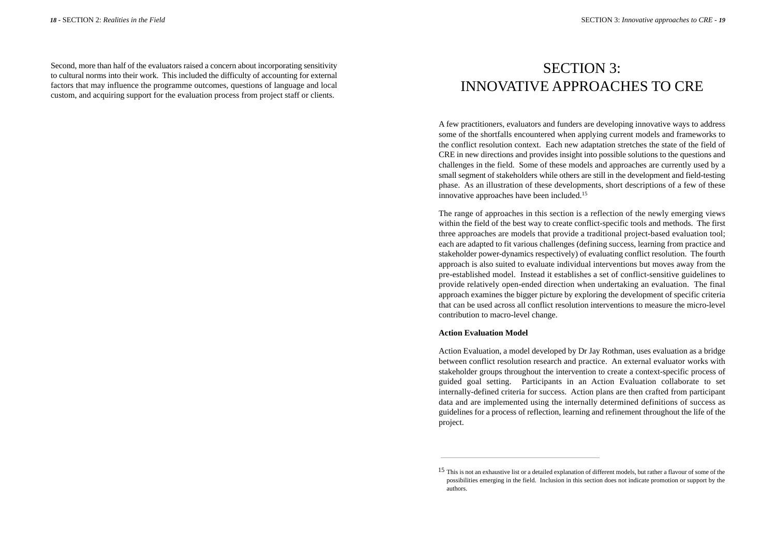Second, more than half of the evaluators raised a concern about incorporating sensitivity to cultural norms into their work. This included the difficulty of accounting for external factors that may influence the programme outcomes, questions of language and local custom, and acquiring support for the evaluation process from project staff or clients.

## SECTION 3: INNOVATIVE APPROACHES TO CRE

A few practitioners, evaluators and funders are developing innovative ways to address some of the shortfalls encountered when applying current models and frameworks to the conflict resolution context. Each new adaptation stretches the state of the field of CRE in new directions and provides insight into possible solutions to the questions and challenges in the field. Some of these models and approaches are currently used by a small segment of stakeholders while others are still in the development and field-testing phase. As an illustration of these developments, short descriptions of a few of these innovative approaches have been included.15

The range of approaches in this section is a reflection of the newly emerging views within the field of the best way to create conflict-specific tools and methods. The first three approaches are models that provide a traditional project-based evaluation tool; each are adapted to fit various challenges (defining success, learning from practice and stakeholder power-dynamics respectively) of evaluating conflict resolution. The fourth approach is also suited to evaluate individual interventions but moves away from the pre-established model. Instead it establishes a set of conflict-sensitive guidelines to provide relatively open-ended direction when undertaking an evaluation. The final approach examines the bigger picture by exploring the development of specific criteria that can be used across all conflict resolution interventions to measure the micro-level contribution to macro-level change.

#### **Action Evaluation Model**

Action Evaluation, a model developed by Dr Jay Rothman, uses evaluation as a bridge between conflict resolution research and practice. An external evaluator works with stakeholder groups throughout the intervention to create a context-specific process of guided goal setting. Participants in an Action Evaluation collaborate to set internally-defined criteria for success. Action plans are then crafted from participant data and are implemented using the internally determined definitions of success as guidelines for a process of reflection, learning and refinement throughout the life of the project.

<sup>15</sup> This is not an exhaustive list or a detailed explanation of different models, but rather a flavour of some of the possibilities emerging in the field. Inclusion in this section does not indicate promotion or support by the authors.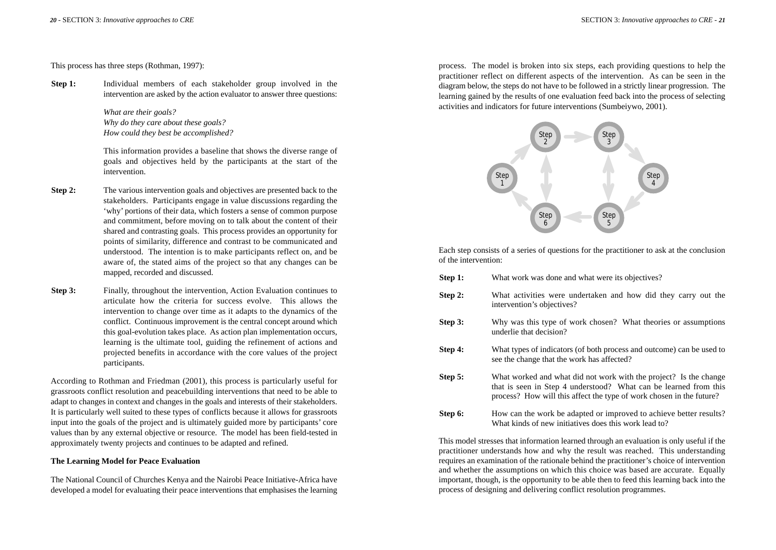This process has three steps (Rothman, 1997):

**Step 1:** Individual members of each stakeholder group involved in the intervention are asked by the action evaluator to answer three questions:

> *What are their goals? Why do they care about these goals? How could they best be accomplished?*

This information provides a baseline that shows the diverse range of goals and objectives held by the participants at the start of the intervention.

- **Step 2:** The various intervention goals and objectives are presented back to the stakeholders. Participants engage in value discussions regarding the 'why' portions of their data, which fosters a sense of common purpose and commitment, before moving on to talk about the content of their shared and contrasting goals. This process provides an opportunity for points of similarity, difference and contrast to be communicated and understood. The intention is to make participants reflect on, and be aware of, the stated aims of the project so that any changes can be mapped, recorded and discussed.
- **Step 3:** Finally, throughout the intervention, Action Evaluation continues to articulate how the criteria for success evolve. This allows the intervention to change over time as it adapts to the dynamics of the conflict. Continuous improvement is the central concept around which this goal-evolution takes place. As action plan implementation occurs, learning is the ultimate tool, guiding the refinement of actions and projected benefits in accordance with the core values of the project participants.

According to Rothman and Friedman (2001), this process is particularly useful for grassroots conflict resolution and peacebuilding interventions that need to be able to adapt to changes in context and changes in the goals and interests of their stakeholders. It is particularly well suited to these types of conflicts because it allows for grassroots input into the goals of the project and is ultimately guided more by participants' core values than by any external objective or resource. The model has been field-tested in approximately twenty projects and continues to be adapted and refined.

#### **The Learning Model for Peace Evaluation**

The National Council of Churches Kenya and the Nairobi Peace Initiative-Africa have developed a model for evaluating their peace interventions that emphasises the learning

process. The model is broken into six steps, each providing questions to help the practitioner reflect on different aspects of the intervention. As can be seen in the diagram below, the steps do not have to be followed in a strictly linear progression. The learning gained by the results of one evaluation feed back into the process of selecting activities and indicators for future interventions (Sumbeiywo, 2001).



Each step consists of a series of questions for the practitioner to ask at the conclusion of the intervention:

| Step 1: | What work was done and what were its objectives?                                                                                                                                                              |
|---------|---------------------------------------------------------------------------------------------------------------------------------------------------------------------------------------------------------------|
| Step 2: | What activities were undertaken and how did they carry out the<br>intervention's objectives?                                                                                                                  |
| Step 3: | Why was this type of work chosen? What theories or assumptions<br>underlie that decision?                                                                                                                     |
| Step 4: | What types of indicators (of both process and outcome) can be used to<br>see the change that the work has affected?                                                                                           |
| Step 5: | What worked and what did not work with the project? Is the change<br>that is seen in Step 4 understood? What can be learned from this<br>process? How will this affect the type of work chosen in the future? |
| Step 6: | How can the work be adapted or improved to achieve better results?<br>What kinds of new initiatives does this work lead to?                                                                                   |

This model stresses that information learned through an evaluation is only useful if the practitioner understands how and why the result was reached. This understanding requires an examination of the rationale behind the practitioner's choice of intervention and whether the assumptions on which this choice was based are accurate. Equally important, though, is the opportunity to be able then to feed this learning back into the process of designing and delivering conflict resolution programmes.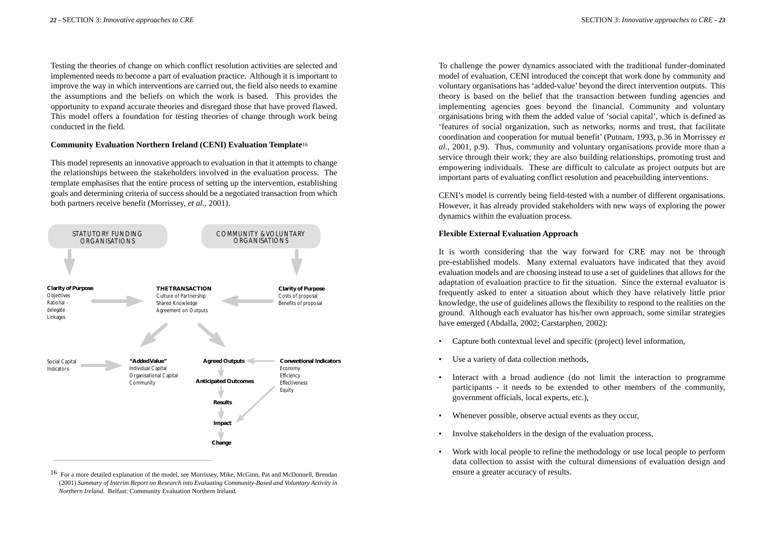Testing the theories of change on which conflict resolution activities are selected and implemented needs to become a part of evaluation practice. Although it is important to improve the way in which interventions are carried out, the field also needs to examine the assumptions and the beliefs on which the work is based. This provides the opportunity to expand accurate theories and disregard those that have proved flawed. This model offers a foundation for testing theories of change through work being conducted in the field.

#### **Community Evaluation Northern Ireland (CENI) Evaluation Template**<sup>16</sup>

This model represents an innovative approach to evaluation in that it attempts to change the relationships between the stakeholders involved in the evaluation process. The template emphasises that the entire process of setting up the intervention, establishing goals and determining criteria of success should be a negotiated transaction from which both partners receive benefit (Morrissey, *et al.*, 2001).



<sup>16</sup> For a more detailed explanation of the model, see Morrissey, Mike, McGinn, Pat and McDonnell, Brendan (2001) *Summary of Interim Report on Research into Evaluating Community-Based and Voluntary Activity in Northern Ireland.* Belfast: Community Evaluation Northern Ireland.

To challenge the power dynamics associated with the traditional funder-dominated model of evaluation, CENI introduced the concept that work done by community and voluntary organisations has 'added-value' beyond the direct intervention outputs. This theory is based on the belief that the transaction between funding agencies and implementing agencies goes beyond the financial. Community and voluntary organisations bring with them the added value of 'social capital', which is defined as 'features of social organization, such as networks, norms and trust, that facilitate coordination and cooperation for mutual benefit' (Putnam, 1993, p.36 in Morrissey *et al.*, 2001, p.9). Thus, community and voluntary organisations provide more than a service through their work; they are also building relationships, promoting trust and empowering individuals. These are difficult to calculate as project outputs but are important parts of evaluating conflict resolution and peacebuilding interventions.

CENI's model is currently being field-tested with a number of different organisations. However, it has already provided stakeholders with new ways of exploring the power dynamics within the evaluation process.

#### **Flexible External Evaluation Approach**

It is worth considering that the way forward for CRE may not be through pre-established models. Many external evaluators have indicated that they avoid evaluation models and are choosing instead to use a set of guidelines that allows for the adaptation of evaluation practice to fit the situation. Since the external evaluator is frequently asked to enter a situation about which they have relatively little prior knowledge, the use of guidelines allows the flexibility to respond to the realities on the ground. Although each evaluator has his/her own approach, some similar strategies have emerged (Abdalla, 2002; Carstarphen, 2002):

- Capture both contextual level and specific (project) level information,
- Use a variety of data collection methods,
- Interact with a broad audience (do not limit the interaction to programme participants - it needs to be extended to other members of the community, government officials, local experts, etc.),
- Whenever possible, observe actual events as they occur,
- Involve stakeholders in the design of the evaluation process,
- Work with local people to refine the methodology or use local people to perform data collection to assist with the cultural dimensions of evaluation design and ensure a greater accuracy of results.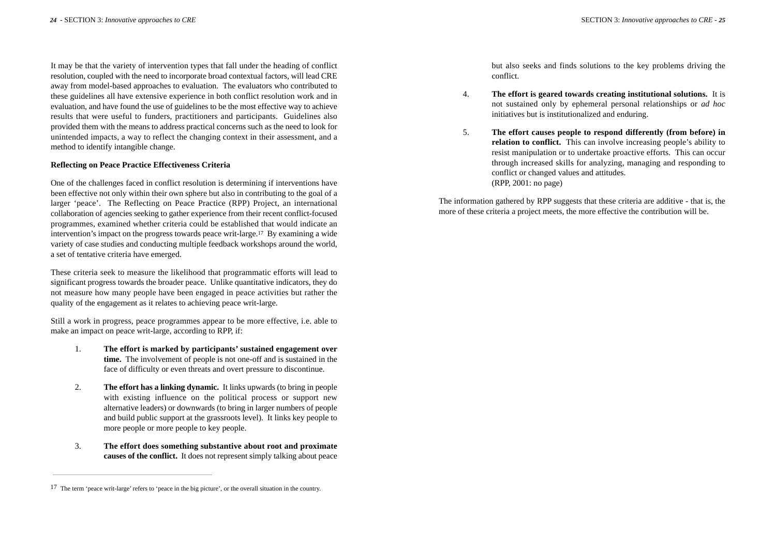It may be that the variety of intervention types that fall under the heading of conflict resolution, coupled with the need to incorporate broad contextual factors, will lead CRE away from model-based approaches to evaluation. The evaluators who contributed to these guidelines all have extensive experience in both conflict resolution work and in evaluation, and have found the use of guidelines to be the most effective way to achieve results that were useful to funders, practitioners and participants. Guidelines also provided them with the means to address practical concerns such as the need to look for unintended impacts, a way to reflect the changing context in their assessment, and a method to identify intangible change.

#### **Reflecting on Peace Practice Effectiveness Criteria**

One of the challenges faced in conflict resolution is determining if interventions have been effective not only within their own sphere but also in contributing to the goal of a larger 'peace'. The Reflecting on Peace Practice (RPP) Project, an international collaboration of agencies seeking to gather experience from their recent conflict-focused programmes, examined whether criteria could be established that would indicate an intervention's impact on the progress towards peace writ-large.17 By examining a wide variety of case studies and conducting multiple feedback workshops around the world, a set of tentative criteria have emerged.

These criteria seek to measure the likelihood that programmatic efforts will lead to significant progress towards the broader peace. Unlike quantitative indicators, they do not measure how many people have been engaged in peace activities but rather the quality of the engagement as it relates to achieving peace writ-large.

Still a work in progress, peace programmes appear to be more effective, i.e. able to make an impact on peace writ-large, according to RPP, if:

- 1. **The effort is marked by participants' sustained engagement over time.** The involvement of people is not one-off and is sustained in the face of difficulty or even threats and overt pressure to discontinue.
- 2. **The effort has a linking dynamic.** It links upwards (to bring in people with existing influence on the political process or support new alternative leaders) or downwards (to bring in larger numbers of people and build public support at the grassroots level). It links key people to more people or more people to key people.
- 3. **The effort does something substantive about root and proximate causes of the conflict.** It does not represent simply talking about peace

but also seeks and finds solutions to the key problems driving the conflict.

- 4. **The effort is geared towards creating institutional solutions.** It is not sustained only by ephemeral personal relationships or *ad hoc* initiatives but is institutionalized and enduring.
- 5. **The effort causes people to respond differently (from before) in relation to conflict.** This can involve increasing people's ability to resist manipulation or to undertake proactive efforts. This can occur through increased skills for analyzing, managing and responding to conflict or changed values and attitudes. (RPP, 2001: no page)

The information gathered by RPP suggests that these criteria are additive - that is, the more of these criteria a project meets, the more effective the contribution will be.

<sup>17</sup> The term 'peace writ-large' refers to 'peace in the big picture', or the overall situation in the country.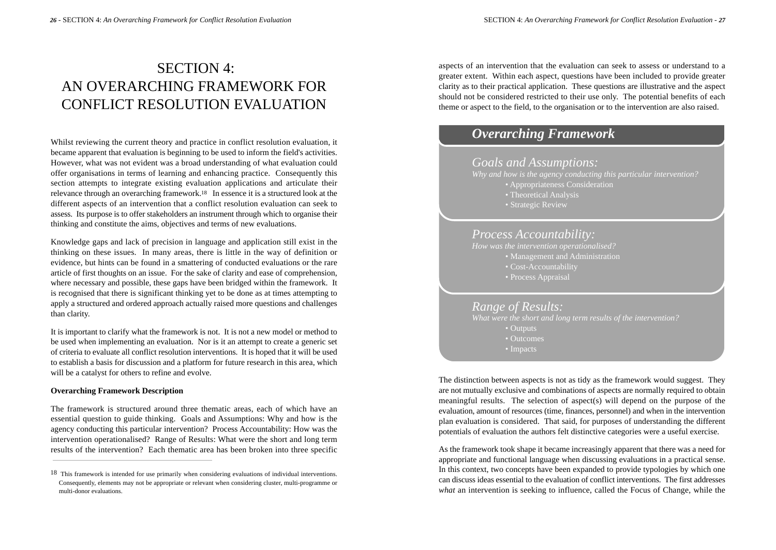## SECTION 4: AN OVERARCHING FRAMEWORK FOR CONFLICT RESOLUTION EVALUATION

Whilst reviewing the current theory and practice in conflict resolution evaluation, it became apparent that evaluation is beginning to be used to inform the field's activities. However, what was not evident was a broad understanding of what evaluation could offer organisations in terms of learning and enhancing practice. Consequently this section attempts to integrate existing evaluation applications and articulate their relevance through an overarching framework.18 In essence it is a structured look at the different aspects of an intervention that a conflict resolution evaluation can seek to assess. Its purpose is to offer stakeholders an instrument through which to organise their thinking and constitute the aims, objectives and terms of new evaluations.

Knowledge gaps and lack of precision in language and application still exist in the thinking on these issues. In many areas, there is little in the way of definition or evidence, but hints can be found in a smattering of conducted evaluations or the rare article of first thoughts on an issue. For the sake of clarity and ease of comprehension, where necessary and possible, these gaps have been bridged within the framework. It is recognised that there is significant thinking yet to be done as at times attempting to apply a structured and ordered approach actually raised more questions and challenges than clarity.

It is important to clarify what the framework is not. It is not a new model or method to be used when implementing an evaluation. Nor is it an attempt to create a generic set of criteria to evaluate all conflict resolution interventions. It is hoped that it will be used to establish a basis for discussion and a platform for future research in this area, which will be a catalyst for others to refine and evolve.

#### **Overarching Framework Description**

The framework is structured around three thematic areas, each of which have an essential question to guide thinking. Goals and Assumptions: Why and how is the agency conducting this particular intervention? Process Accountability: How was the intervention operationalised? Range of Results: What were the short and long term results of the intervention? Each thematic area has been broken into three specific

aspects of an intervention that the evaluation can seek to assess or understand to a greater extent. Within each aspect, questions have been included to provide greater clarity as to their practical application. These questions are illustrative and the aspect should not be considered restricted to their use only. The potential benefits of each theme or aspect to the field, to the organisation or to the intervention are also raised.

### *Overarching Framework*

### *Goals and Assumptions:*

- *Why and how is the agency conducting this particular intervention?*
	- Appropriateness Consideration
	- Theoretical Analysis
	- Strategic Review

#### *Process Accountability:*

- - Management and Administration
	- Cost-Accountability
	- Process Appraisal

### *Range of Results:*

*What were the short and long term results of the intervention?* • Outputs • Outcomes • Impacts

The distinction between aspects is not as tidy as the framework would suggest. They are not mutually exclusive and combinations of aspects are normally required to obtain meaningful results. The selection of aspect(s) will depend on the purpose of the evaluation, amount of resources (time, finances, personnel) and when in the intervention plan evaluation is considered. That said, for purposes of understanding the different potentials of evaluation the authors felt distinctive categories were a useful exercise.

As the framework took shape it became increasingly apparent that there was a need for appropriate and functional language when discussing evaluations in a practical sense. In this context, two concepts have been expanded to provide typologies by which one can discuss ideas essential to the evaluation of conflict interventions. The first addresses *what* an intervention is seeking to influence, called the Focus of Change, while the

<sup>&</sup>lt;sup>18</sup> This framework is intended for use primarily when considering evaluations of individual interventions. Consequently, elements may not be appropriate or relevant when considering cluster, multi-programme or multi-donor evaluations.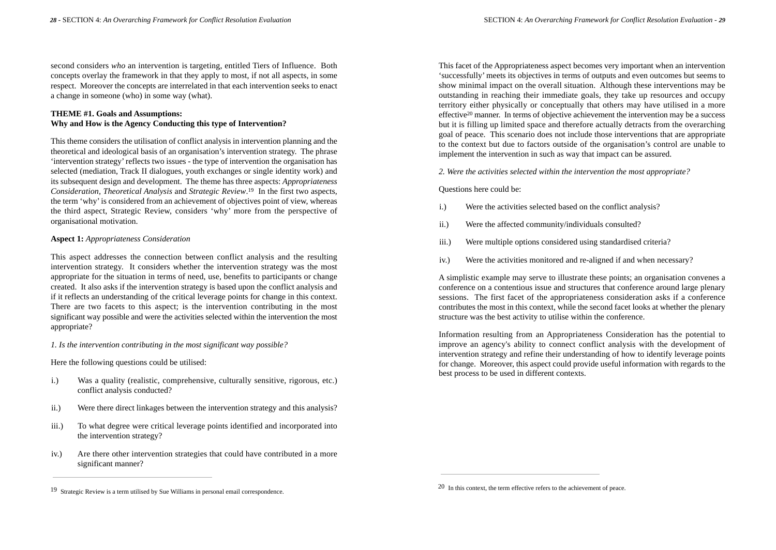second considers *who* an intervention is targeting, entitled Tiers of Influence. Both concepts overlay the framework in that they apply to most, if not all aspects, in some respect. Moreover the concepts are interrelated in that each intervention seeks to enact a change in someone (who) in some way (what).

#### **THEME #1. Goals and Assumptions: Why and How is the Agency Conducting this type of Intervention?**

This theme considers the utilisation of conflict analysis in intervention planning and the theoretical and ideological basis of an organisation's intervention strategy. The phrase 'intervention strategy'reflects two issues - the type of intervention the organisation has selected (mediation, Track II dialogues, youth exchanges or single identity work) and its subsequent design and development. The theme has three aspects: *Appropriateness Consideration, Theoretical Analysis* and *Strategic Review*.19 In the first two aspects, the term 'why'is considered from an achievement of objectives point of view, whereas the third aspect, Strategic Review, considers 'why' more from the perspective of organisational motivation.

#### **Aspect 1:** *Appropriateness Consideration*

This aspect addresses the connection between conflict analysis and the resulting intervention strategy. It considers whether the intervention strategy was the most appropriate for the situation in terms of need, use, benefits to participants or change created. It also asks if the intervention strategy is based upon the conflict analysis and if it reflects an understanding of the critical leverage points for change in this context. There are two facets to this aspect; is the intervention contributing in the most significant way possible and were the activities selected within the intervention the most appropriate?

*1. Is the intervention contributing in the most significant way possible?*

Here the following questions could be utilised:

- i.) Was a quality (realistic, comprehensive, culturally sensitive, rigorous, etc.) conflict analysis conducted?
- ii.) Were there direct linkages between the intervention strategy and this analysis?
- iii.) To what degree were critical leverage points identified and incorporated into the intervention strategy?
- iv.) Are there other intervention strategies that could have contributed in a more significant manner?

This facet of the Appropriateness aspect becomes very important when an intervention 'successfully' meets its objectives in terms of outputs and even outcomes but seems to show minimal impact on the overall situation. Although these interventions may be outstanding in reaching their immediate goals, they take up resources and occupy territory either physically or conceptually that others may have utilised in a more effective20 manner. In terms of objective achievement the intervention may be a success but it is filling up limited space and therefore actually detracts from the overarching goal of peace. This scenario does not include those interventions that are appropriate to the context but due to factors outside of the organisation's control are unable to implement the intervention in such as way that impact can be assured.

*2. Were the activities selected within the intervention the most appropriate?*

#### Questions here could be:

- i.) Were the activities selected based on the conflict analysis?
- ii.) Were the affected community/individuals consulted?
- iii.) Were multiple options considered using standardised criteria?
- iv.) Were the activities monitored and re-aligned if and when necessary?

A simplistic example may serve to illustrate these points; an organisation convenes a conference on a contentious issue and structures that conference around large plenary sessions. The first facet of the appropriateness consideration asks if a conference contributes the most in this context, while the second facet looks at whether the plenary structure was the best activity to utilise within the conference.

Information resulting from an Appropriateness Consideration has the potential to improve an agency's ability to connect conflict analysis with the development of intervention strategy and refine their understanding of how to identify leverage points for change. Moreover, this aspect could provide useful information with regards to the best process to be used in different contexts.

<sup>&</sup>lt;sup>20</sup> In this context, the term effective refers to the achievement of peace.<br><sup>29</sup> In this context, the term effective refers to the achievement of peace.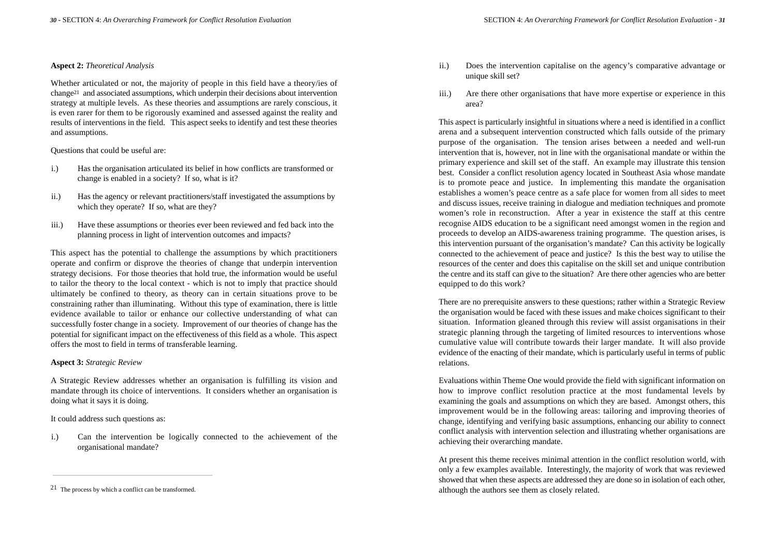#### **Aspect 2:** *Theoretical Analysis*

Whether articulated or not, the majority of people in this field have a theory/ies of change21 and associated assumptions, which underpin their decisions about intervention strategy at multiple levels. As these theories and assumptions are rarely conscious, it is even rarer for them to be rigorously examined and assessed against the reality and results of interventions in the field. This aspect seeks to identify and test these theories and assumptions.

#### Questions that could be useful are:

- i.) Has the organisation articulated its belief in how conflicts are transformed or change is enabled in a society? If so, what is it?
- ii.) Has the agency or relevant practitioners/staff investigated the assumptions by which they operate? If so, what are they?
- iii.) Have these assumptions or theories ever been reviewed and fed back into the planning process in light of intervention outcomes and impacts?

This aspect has the potential to challenge the assumptions by which practitioners operate and confirm or disprove the theories of change that underpin intervention strategy decisions. For those theories that hold true, the information would be useful to tailor the theory to the local context - which is not to imply that practice should ultimately be confined to theory, as theory can in certain situations prove to be constraining rather than illuminating. Without this type of examination, there is little evidence available to tailor or enhance our collective understanding of what can successfully foster change in a society. Improvement of our theories of change has the potential for significant impact on the effectiveness of this field as a whole. This aspect offers the most to field in terms of transferable learning.

#### **Aspect 3:** *Strategic Review*

A Strategic Review addresses whether an organisation is fulfilling its vision and mandate through its choice of interventions. It considers whether an organisation is doing what it says it is doing.

It could address such questions as:

i.) Can the intervention be logically connected to the achievement of the organisational mandate?

- ii.) Does the intervention capitalise on the agency's comparative advantage or unique skill set?
- iii.) Are there other organisations that have more expertise or experience in this area?

This aspect is particularly insightful in situations where a need is identified in a conflict arena and a subsequent intervention constructed which falls outside of the primary purpose of the organisation. The tension arises between a needed and well-run intervention that is, however, not in line with the organisational mandate or within the primary experience and skill set of the staff. An example may illustrate this tension best. Consider a conflict resolution agency located in Southeast Asia whose mandate is to promote peace and justice. In implementing this mandate the organisation establishes a women's peace centre as a safe place for women from all sides to meet and discuss issues, receive training in dialogue and mediation techniques and promote women's role in reconstruction. After a year in existence the staff at this centre recognise AIDS education to be a significant need amongst women in the region and proceeds to develop an AIDS-awareness training programme. The question arises, is this intervention pursuant of the organisation's mandate? Can this activity be logically connected to the achievement of peace and justice? Is this the best way to utilise the resources of the center and does this capitalise on the skill set and unique contribution the centre and its staff can give to the situation? Are there other agencies who are better equipped to do this work?

There are no prerequisite answers to these questions; rather within a Strategic Review the organisation would be faced with these issues and make choices significant to their situation. Information gleaned through this review will assist organisations in their strategic planning through the targeting of limited resources to interventions whose cumulative value will contribute towards their larger mandate. It will also provide evidence of the enacting of their mandate, which is particularly useful in terms of public relations.

Evaluations within Theme One would provide the field with significant information on how to improve conflict resolution practice at the most fundamental levels by examining the goals and assumptions on which they are based. Amongst others, this improvement would be in the following areas: tailoring and improving theories of change, identifying and verifying basic assumptions, enhancing our ability to connect conflict analysis with intervention selection and illustrating whether organisations are achieving their overarching mandate.

At present this theme receives minimal attention in the conflict resolution world, with only a few examples available. Interestingly, the majority of work that was reviewed showed that when these aspects are addressed they are done so in isolation of each other, although the authors see them as closely related.

<sup>21</sup> The process by which a conflict can be transformed.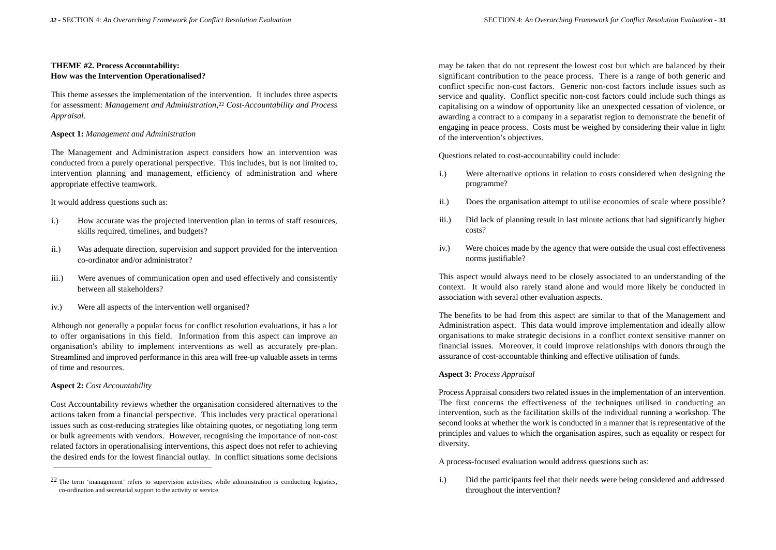#### **THEME #2. Process Accountability: How was the Intervention Operationalised?**

This theme assesses the implementation of the intervention. It includes three aspects for assessment: *Management and Administration,*<sup>22</sup> *Cost-Accountability and Process Appraisal.*

#### **Aspect 1:** *Management and Administration*

The Management and Administration aspect considers how an intervention was conducted from a purely operational perspective. This includes, but is not limited to, intervention planning and management, efficiency of administration and where appropriate effective teamwork.

#### It would address questions such as:

- i.) How accurate was the projected intervention plan in terms of staff resources, skills required, timelines, and budgets?
- ii.) Was adequate direction, supervision and support provided for the intervention co-ordinator and/or administrator?
- iii.) Were avenues of communication open and used effectively and consistently between all stakeholders?
- iv.) Were all aspects of the intervention well organised?

Although not generally a popular focus for conflict resolution evaluations, it has a lot to offer organisations in this field. Information from this aspect can improve an organisation's ability to implement interventions as well as accurately pre-plan. Streamlined and improved performance in this area will free-up valuable assets in terms of time and resources.

#### **Aspect 2:** *Cost Accountability*

Cost Accountability reviews whether the organisation considered alternatives to the actions taken from a financial perspective. This includes very practical operational issues such as cost-reducing strategies like obtaining quotes, or negotiating long term or bulk agreements with vendors. However, recognising the importance of non-cost related factors in operationalising interventions, this aspect does not refer to achieving the desired ends for the lowest financial outlay. In conflict situations some decisions may be taken that do not represent the lowest cost but which are balanced by their significant contribution to the peace process. There is a range of both generic and conflict specific non-cost factors. Generic non-cost factors include issues such as service and quality. Conflict specific non-cost factors could include such things as capitalising on a window of opportunity like an unexpected cessation of violence, or awarding a contract to a company in a separatist region to demonstrate the benefit of engaging in peace process. Costs must be weighed by considering their value in light of the intervention's objectives.

Questions related to cost-accountability could include:

- i.) Were alternative options in relation to costs considered when designing the programme?
- ii.) Does the organisation attempt to utilise economies of scale where possible?
- iii.) Did lack of planning result in last minute actions that had significantly higher costs?
- iv.) Were choices made by the agency that were outside the usual cost effectiveness norms justifiable?

This aspect would always need to be closely associated to an understanding of the context. It would also rarely stand alone and would more likely be conducted in association with several other evaluation aspects.

The benefits to be had from this aspect are similar to that of the Management and Administration aspect. This data would improve implementation and ideally allow organisations to make strategic decisions in a conflict context sensitive manner on financial issues. Moreover, it could improve relationships with donors through the assurance of cost-accountable thinking and effective utilisation of funds.

#### **Aspect 3:** *Process Appraisal*

Process Appraisal considers two related issues in the implementation of an intervention. The first concerns the effectiveness of the techniques utilised in conducting an intervention, such as the facilitation skills of the individual running a workshop. The second looks at whether the work is conducted in a manner that is representative of the principles and values to which the organisation aspires, such as equality or respect for diversity.

A process-focused evaluation would address questions such as:

i.) Did the participants feel that their needs were being considered and addressed throughout the intervention?

<sup>22</sup> The term 'management' refers to supervision activities, while administration is conducting logistics, co-ordination and secretarial support to the activity or service.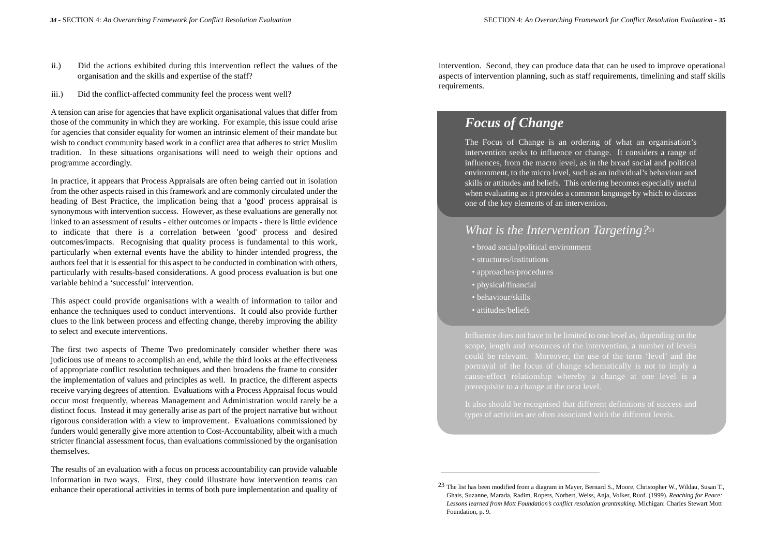- ii.) Did the actions exhibited during this intervention reflect the values of the organisation and the skills and expertise of the staff?
- iii.) Did the conflict-affected community feel the process went well?

A tension can arise for agencies that have explicit organisational values that differ from those of the community in which they are working. For example, this issue could arise for agencies that consider equality for women an intrinsic element of their mandate but wish to conduct community based work in a conflict area that adheres to strict Muslim tradition. In these situations organisations will need to weigh their options and programme accordingly.

In practice, it appears that Process Appraisals are often being carried out in isolation from the other aspects raised in this framework and are commonly circulated under the heading of Best Practice, the implication being that a 'good' process appraisal is synonymous with intervention success. However, as these evaluations are generally not linked to an assessment of results - either outcomes or impacts - there is little evidence to indicate that there is a correlation between 'good' process and desired outcomes/impacts. Recognising that quality process is fundamental to this work, particularly when external events have the ability to hinder intended progress, the authors feel that it is essential for this aspect to be conducted in combination with others, particularly with results-based considerations. A good process evaluation is but one variable behind a 'successful' intervention.

This aspect could provide organisations with a wealth of information to tailor and enhance the techniques used to conduct interventions. It could also provide further clues to the link between process and effecting change, thereby improving the ability to select and execute interventions.

The first two aspects of Theme Two predominately consider whether there was judicious use of means to accomplish an end, while the third looks at the effectiveness of appropriate conflict resolution techniques and then broadens the frame to consider the implementation of values and principles as well. In practice, the different aspects receive varying degrees of attention. Evaluations with a Process Appraisal focus would occur most frequently, whereas Management and Administration would rarely be a distinct focus. Instead it may generally arise as part of the project narrative but without rigorous consideration with a view to improvement. Evaluations commissioned by funders would generally give more attention to Cost-Accountability, albeit with a much stricter financial assessment focus, than evaluations commissioned by the organisation themselves.

The results of an evaluation with a focus on process accountability can provide valuable information in two ways. First, they could illustrate how intervention teams can enhance their operational activities in terms of both pure implementation and quality of

intervention. Second, they can produce data that can be used to improve operational aspects of intervention planning, such as staff requirements, timelining and staff skills requirements.

### *Focus of Change*

The Focus of Change is an ordering of what an organisation's intervention seeks to influence or change. It considers a range of influences, from the macro level, as in the broad social and political environment, to the micro level, such as an individual's behaviour and skills or attitudes and beliefs. This ordering becomes especially useful when evaluating as it provides a common language by which to discuss one of the key elements of an intervention.

### *What is the Intervention Targeting?*<sup>23</sup>

- broad social/political environment
- structures/institutions
- approaches/procedures
- physical/financial
- behaviour/skills
- attitudes/beliefs

Influence does not have to be limited to one level as, depending on the

It also should be recognised that different definitions of success and types of activities are often associated with the different levels.

<sup>23</sup> The list has been modified from a diagram in Mayer, Bernard S., Moore, Christopher W., Wildau, Susan T., Ghais, Suzanne, Marada, Radim, Ropers, Norbert, Weiss, Anja, Volker, Ruof. (1999). *Reaching for Peace: Lessons learned from Mott Foundation's conflict resolution grantmaking.* Michigan: Charles Stewart Mott Foundation, p. 9.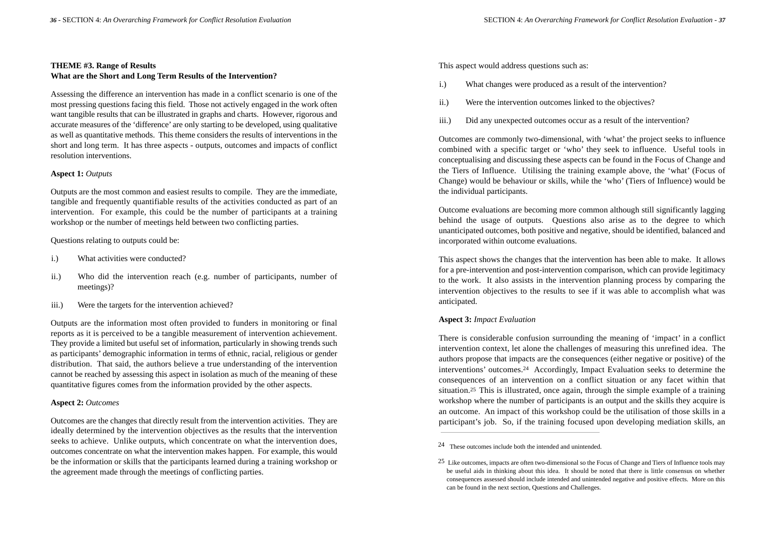#### **THEME #3. Range of Results What are the Short and Long Term Results of the Intervention?**

Assessing the difference an intervention has made in a conflict scenario is one of the most pressing questions facing this field. Those not actively engaged in the work often want tangible results that can be illustrated in graphs and charts. However, rigorous and accurate measures of the 'difference' are only starting to be developed, using qualitative as well as quantitative methods. This theme considers the results of interventions in the short and long term. It has three aspects - outputs, outcomes and impacts of conflict resolution interventions.

#### **Aspect 1:** *Outputs*

Outputs are the most common and easiest results to compile. They are the immediate, tangible and frequently quantifiable results of the activities conducted as part of an intervention. For example, this could be the number of participants at a training workshop or the number of meetings held between two conflicting parties.

Questions relating to outputs could be:

- i.) What activities were conducted?
- ii.) Who did the intervention reach (e.g. number of participants, number of meetings)?
- iii.) Were the targets for the intervention achieved?

Outputs are the information most often provided to funders in monitoring or final reports as it is perceived to be a tangible measurement of intervention achievement. They provide a limited but useful set of information, particularly in showing trends such as participants' demographic information in terms of ethnic, racial, religious or gender distribution. That said, the authors believe a true understanding of the intervention cannot be reached by assessing this aspect in isolation as much of the meaning of these quantitative figures comes from the information provided by the other aspects.

#### **Aspect 2:** *Outcomes*

Outcomes are the changes that directly result from the intervention activities. They are ideally determined by the intervention objectives as the results that the intervention seeks to achieve. Unlike outputs, which concentrate on what the intervention does, outcomes concentrate on what the intervention makes happen. For example, this would be the information or skills that the participants learned during a training workshop or the agreement made through the meetings of conflicting parties.

This aspect would address questions such as:

- i.) What changes were produced as a result of the intervention?
- ii.) Were the intervention outcomes linked to the objectives?
- iii.) Did any unexpected outcomes occur as a result of the intervention?

Outcomes are commonly two-dimensional, with 'what' the project seeks to influence combined with a specific target or 'who' they seek to influence. Useful tools in conceptualising and discussing these aspects can be found in the Focus of Change and the Tiers of Influence. Utilising the training example above, the 'what' (Focus of Change) would be behaviour or skills, while the 'who' (Tiers of Influence) would be the individual participants.

Outcome evaluations are becoming more common although still significantly lagging behind the usage of outputs. Questions also arise as to the degree to which unanticipated outcomes, both positive and negative, should be identified, balanced and incorporated within outcome evaluations.

This aspect shows the changes that the intervention has been able to make. It allows for a pre-intervention and post-intervention comparison, which can provide legitimacy to the work. It also assists in the intervention planning process by comparing the intervention objectives to the results to see if it was able to accomplish what was anticipated.

#### **Aspect 3:** *Impact Evaluation*

There is considerable confusion surrounding the meaning of 'impact' in a conflict intervention context, let alone the challenges of measuring this unrefined idea. The authors propose that impacts are the consequences (either negative or positive) of the interventions' outcomes.24 Accordingly, Impact Evaluation seeks to determine the consequences of an intervention on a conflict situation or any facet within that situation.25 This is illustrated, once again, through the simple example of a training workshop where the number of participants is an output and the skills they acquire is an outcome. An impact of this workshop could be the utilisation of those skills in a participant's job. So, if the training focused upon developing mediation skills, an

<sup>24</sup> These outcomes include both the intended and unintended.

<sup>25</sup> Like outcomes, impacts are often two-dimensional so the Focus of Change and Tiers of Influence tools may be useful aids in thinking about this idea. It should be noted that there is little consensus on whether consequences assessed should include intended and unintended negative and positive effects. More on this can be found in the next section, Questions and Challenges.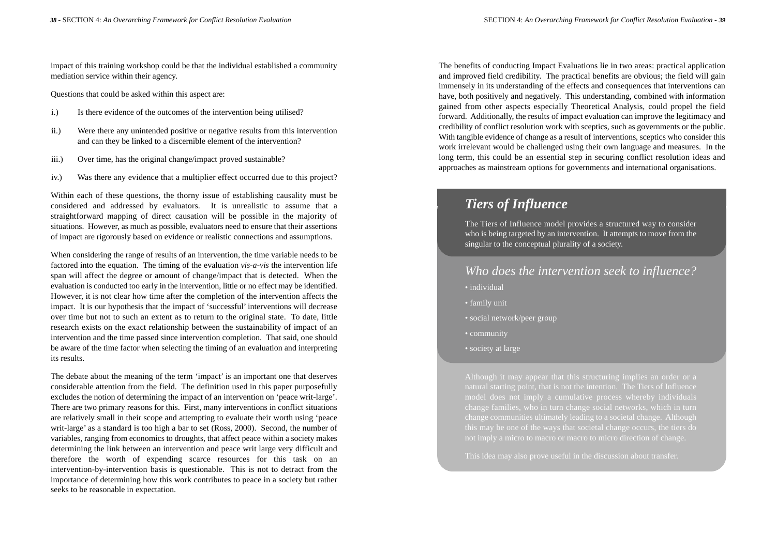impact of this training workshop could be that the individual established a community mediation service within their agency.

Questions that could be asked within this aspect are:

- i.) Is there evidence of the outcomes of the intervention being utilised?
- ii.) Were there any unintended positive or negative results from this intervention and can they be linked to a discernible element of the intervention?
- iii.) Over time, has the original change/impact proved sustainable?
- iv.) Was there any evidence that a multiplier effect occurred due to this project?

Within each of these questions, the thorny issue of establishing causality must be considered and addressed by evaluators. It is unrealistic to assume that a straightforward mapping of direct causation will be possible in the majority of situations. However, as much as possible, evaluators need to ensure that their assertions of impact are rigorously based on evidence or realistic connections and assumptions.

When considering the range of results of an intervention, the time variable needs to be factored into the equation. The timing of the evaluation *vis-a-vis* the intervention life span will affect the degree or amount of change/impact that is detected. When the evaluation is conducted too early in the intervention, little or no effect may be identified. However, it is not clear how time after the completion of the intervention affects the impact. It is our hypothesis that the impact of 'successful' interventions will decrease over time but not to such an extent as to return to the original state. To date, little research exists on the exact relationship between the sustainability of impact of an intervention and the time passed since intervention completion. That said, one should be aware of the time factor when selecting the timing of an evaluation and interpreting its results.

The debate about the meaning of the term 'impact' is an important one that deserves considerable attention from the field. The definition used in this paper purposefully excludes the notion of determining the impact of an intervention on 'peace writ-large'. There are two primary reasons for this. First, many interventions in conflict situations are relatively small in their scope and attempting to evaluate their worth using 'peace writ-large' as a standard is too high a bar to set (Ross, 2000). Second, the number of variables, ranging from economics to droughts, that affect peace within a society makes determining the link between an intervention and peace writ large very difficult and therefore the worth of expending scarce resources for this task on an intervention-by-intervention basis is questionable. This is not to detract from the importance of determining how this work contributes to peace in a society but rather seeks to be reasonable in expectation.

The benefits of conducting Impact Evaluations lie in two areas: practical application and improved field credibility. The practical benefits are obvious; the field will gain immensely in its understanding of the effects and consequences that interventions can have, both positively and negatively. This understanding, combined with information gained from other aspects especially Theoretical Analysis, could propel the field forward. Additionally, the results of impact evaluation can improve the legitimacy and credibility of conflict resolution work with sceptics, such as governments or the public. With tangible evidence of change as a result of interventions, sceptics who consider this work irrelevant would be challenged using their own language and measures. In the long term, this could be an essential step in securing conflict resolution ideas and approaches as mainstream options for governments and international organisations.

### *Tiers of Influence*

The Tiers of Influence model provides a structured way to consider who is being targeted by an intervention. It attempts to move from the singular to the conceptual plurality of a society.

### *Who does the intervention seek to influence?*

- individual
- family unit
- social network/peer group
- community
- society at large

natural starting point, that is not the intention. The Tiers of Influence change communities ultimately leading to a societal change. Although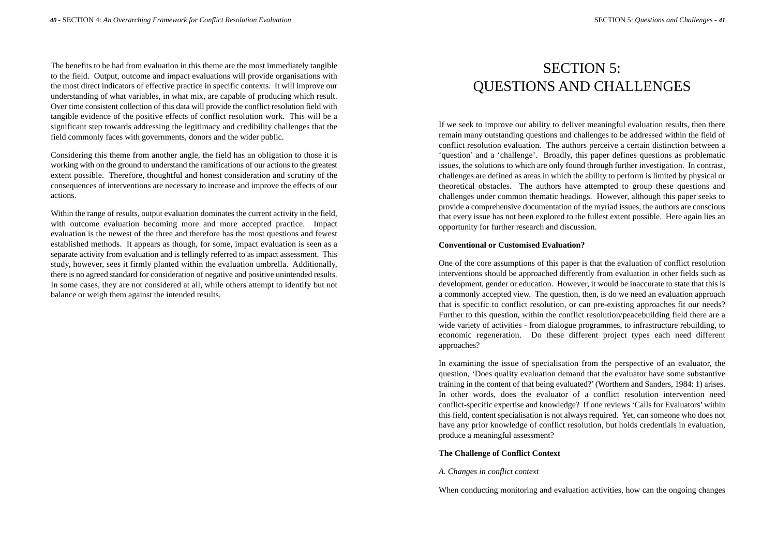The benefits to be had from evaluation in this theme are the most immediately tangible to the field. Output, outcome and impact evaluations will provide organisations with the most direct indicators of effective practice in specific contexts. It will improve our understanding of what variables, in what mix, are capable of producing which result. Over time consistent collection of this data will provide the conflict resolution field with tangible evidence of the positive effects of conflict resolution work. This will be a significant step towards addressing the legitimacy and credibility challenges that the field commonly faces with governments, donors and the wider public.

Considering this theme from another angle, the field has an obligation to those it is working with on the ground to understand the ramifications of our actions to the greatest extent possible. Therefore, thoughtful and honest consideration and scrutiny of the consequences of interventions are necessary to increase and improve the effects of our actions.

Within the range of results, output evaluation dominates the current activity in the field, with outcome evaluation becoming more and more accepted practice. Impact evaluation is the newest of the three and therefore has the most questions and fewest established methods. It appears as though, for some, impact evaluation is seen as a separate activity from evaluation and is tellingly referred to as impact assessment. This study, however, sees it firmly planted within the evaluation umbrella. Additionally, there is no agreed standard for consideration of negative and positive unintended results. In some cases, they are not considered at all, while others attempt to identify but not balance or weigh them against the intended results.

## SECTION 5: QUESTIONS AND CHALLENGES

If we seek to improve our ability to deliver meaningful evaluation results, then there remain many outstanding questions and challenges to be addressed within the field of conflict resolution evaluation. The authors perceive a certain distinction between a 'question' and a 'challenge'. Broadly, this paper defines questions as problematic issues, the solutions to which are only found through further investigation. In contrast, challenges are defined as areas in which the ability to perform is limited by physical or theoretical obstacles. The authors have attempted to group these questions and challenges under common thematic headings. However, although this paper seeks to provide a comprehensive documentation of the myriad issues, the authors are conscious that every issue has not been explored to the fullest extent possible. Here again lies an opportunity for further research and discussion.

#### **Conventional or Customised Evaluation?**

One of the core assumptions of this paper is that the evaluation of conflict resolution interventions should be approached differently from evaluation in other fields such as development, gender or education. However, it would be inaccurate to state that this is a commonly accepted view. The question, then, is do we need an evaluation approach that is specific to conflict resolution, or can pre-existing approaches fit our needs? Further to this question, within the conflict resolution/peacebuilding field there are a wide variety of activities - from dialogue programmes, to infrastructure rebuilding, to economic regeneration. Do these different project types each need different approaches?

In examining the issue of specialisation from the perspective of an evaluator, the question, 'Does quality evaluation demand that the evaluator have some substantive training in the content of that being evaluated?'(Worthern and Sanders, 1984: 1) arises. In other words, does the evaluator of a conflict resolution intervention need conflict-specific expertise and knowledge? If one reviews 'Calls for Evaluators' within this field, content specialisation is not always required. Yet, can someone who does not have any prior knowledge of conflict resolution, but holds credentials in evaluation, produce a meaningful assessment?

#### **The Challenge of Conflict Context**

#### *A. Changes in conflict context*

When conducting monitoring and evaluation activities, how can the ongoing changes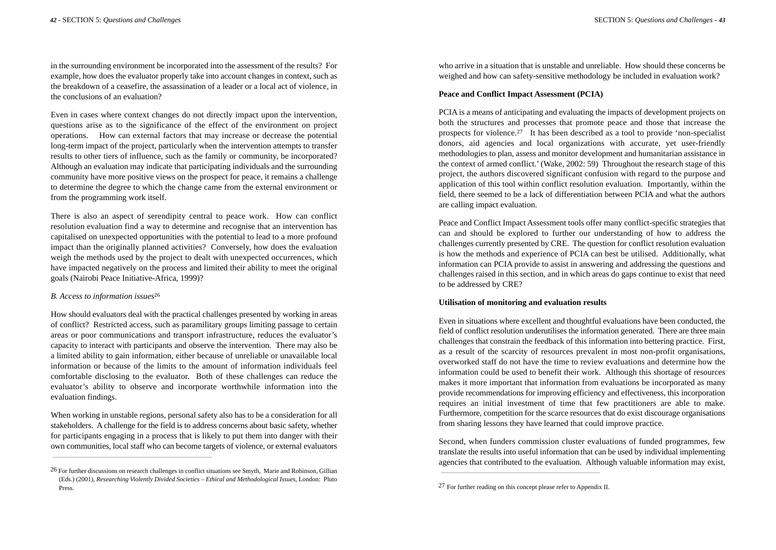in the surrounding environment be incorporated into the assessment of the results? For example, how does the evaluator properly take into account changes in context, such as the breakdown of a ceasefire, the assassination of a leader or a local act of violence, in the conclusions of an evaluation?

Even in cases where context changes do not directly impact upon the intervention, questions arise as to the significance of the effect of the environment on project operations. How can external factors that may increase or decrease the potential long-term impact of the project, particularly when the intervention attempts to transfer results to other tiers of influence, such as the family or community, be incorporated? Although an evaluation may indicate that participating individuals and the surrounding community have more positive views on the prospect for peace, it remains a challenge to determine the degree to which the change came from the external environment or from the programming work itself.

There is also an aspect of serendipity central to peace work. How can conflict resolution evaluation find a way to determine and recognise that an intervention has capitalised on unexpected opportunities with the potential to lead to a more profound impact than the originally planned activities? Conversely, how does the evaluation weigh the methods used by the project to dealt with unexpected occurrences, which have impacted negatively on the process and limited their ability to meet the original goals (Nairobi Peace Initiative-Africa, 1999)?

#### *B. Access to information issues*<sup>26</sup>

How should evaluators deal with the practical challenges presented by working in areas of conflict? Restricted access, such as paramilitary groups limiting passage to certain areas or poor communications and transport infrastructure, reduces the evaluator's capacity to interact with participants and observe the intervention. There may also be a limited ability to gain information, either because of unreliable or unavailable local information or because of the limits to the amount of information individuals feel comfortable disclosing to the evaluator. Both of these challenges can reduce the evaluator's ability to observe and incorporate worthwhile information into the evaluation findings.

When working in unstable regions, personal safety also has to be a consideration for all stakeholders. A challenge for the field is to address concerns about basic safety, whether for participants engaging in a process that is likely to put them into danger with their own communities, local staff who can become targets of violence, or external evaluators

who arrive in a situation that is unstable and unreliable. How should these concerns be weighed and how can safety-sensitive methodology be included in evaluation work?

#### **Peace and Conflict Impact Assessment (PCIA)**

PCIA is a means of anticipating and evaluating the impacts of development projects on both the structures and processes that promote peace and those that increase the prospects for violence.27 It has been described as a tool to provide 'non-specialist donors, aid agencies and local organizations with accurate, yet user-friendly methodologies to plan, assess and monitor development and humanitarian assistance in the context of armed conflict.'(Wake, 2002: 59) Throughout the research stage of this project, the authors discovered significant confusion with regard to the purpose and application of this tool within conflict resolution evaluation. Importantly, within the field, there seemed to be a lack of differentiation between PCIA and what the authors are calling impact evaluation.

Peace and Conflict Impact Assessment tools offer many conflict-specific strategies that can and should be explored to further our understanding of how to address the challenges currently presented by CRE. The question for conflict resolution evaluation is how the methods and experience of PCIA can best be utilised. Additionally, what information can PCIA provide to assist in answering and addressing the questions and challenges raised in this section, and in which areas do gaps continue to exist that need to be addressed by CRE?

#### **Utilisation of monitoring and evaluation results**

Even in situations where excellent and thoughtful evaluations have been conducted, the field of conflict resolution underutilises the information generated. There are three main challenges that constrain the feedback of this information into bettering practice. First, as a result of the scarcity of resources prevalent in most non-profit organisations, overworked staff do not have the time to review evaluations and determine how the information could be used to benefit their work. Although this shortage of resources makes it more important that information from evaluations be incorporated as many provide recommendations for improving efficiency and effectiveness, this incorporation requires an initial investment of time that few practitioners are able to make. Furthermore, competition for the scarce resources that do exist discourage organisations from sharing lessons they have learned that could improve practice.

Second, when funders commission cluster evaluations of funded programmes, few translate the results into useful information that can be used by individual implementing agencies that contributed to the evaluation. Although valuable information may exist,

<sup>26</sup> For further discussions on research challenges in conflict situations see Smyth, Marie and Robinson, Gillian (Eds.) (2001), *Researching Violently Divided Societies – Ethical and Methodological Issues*, London: Pluto Press.

<sup>27</sup> For further reading on this concept please refer to Appendix II.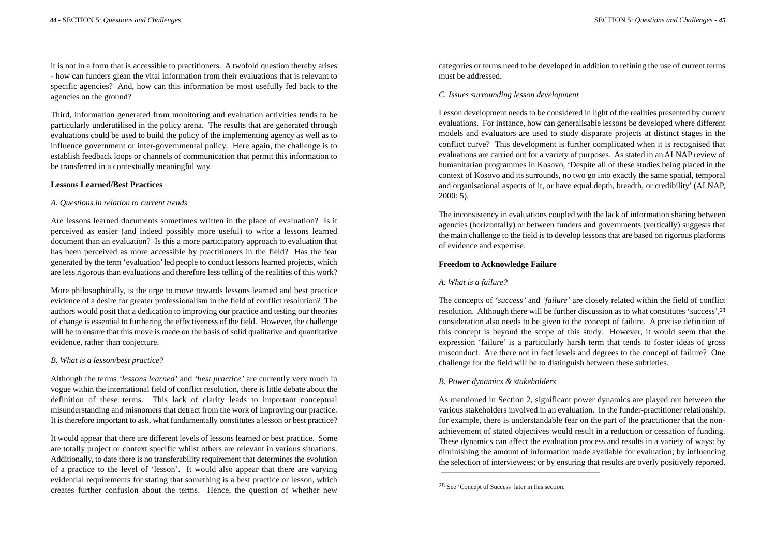it is not in a form that is accessible to practitioners. A twofold question thereby arises - how can funders glean the vital information from their evaluations that is relevant to specific agencies? And, how can this information be most usefully fed back to the agencies on the ground?

Third, information generated from monitoring and evaluation activities tends to be particularly underutilised in the policy arena. The results that are generated through evaluations could be used to build the policy of the implementing agency as well as to influence government or inter-governmental policy. Here again, the challenge is to establish feedback loops or channels of communication that permit this information to be transferred in a contextually meaningful way.

#### **Lessons Learned/Best Practices**

#### *A. Questions in relation to current trends*

Are lessons learned documents sometimes written in the place of evaluation? Is it perceived as easier (and indeed possibly more useful) to write a lessons learned document than an evaluation? Is this a more participatory approach to evaluation that has been perceived as more accessible by practitioners in the field? Has the fear generated by the term 'evaluation'led people to conduct lessons learned projects, which are less rigorous than evaluations and therefore less telling of the realities of this work?

More philosophically, is the urge to move towards lessons learned and best practice evidence of a desire for greater professionalism in the field of conflict resolution? The authors would posit that a dedication to improving our practice and testing our theories of change is essential to furthering the effectiveness of the field. However, the challenge will be to ensure that this move is made on the basis of solid qualitative and quantitative evidence, rather than conjecture.

#### *B. What is a lesson/best practice?*

Although the terms *'lessons learned'* and *'best practice'* are currently very much in vogue within the international field of conflict resolution, there is little debate about the definition of these terms. This lack of clarity leads to important conceptual misunderstanding and misnomers that detract from the work of improving our practice. It is therefore important to ask, what fundamentally constitutes a lesson or best practice?

It would appear that there are different levels of lessons learned or best practice. Some are totally project or context specific whilst others are relevant in various situations. Additionally, to date there is no transferability requirement that determines the evolution of a practice to the level of 'lesson'. It would also appear that there are varying evidential requirements for stating that something is a best practice or lesson, which creates further confusion about the terms. Hence, the question of whether new

categories or terms need to be developed in addition to refining the use of current terms must be addressed.

#### *C. Issues surrounding lesson development*

Lesson development needs to be considered in light of the realities presented by current evaluations. For instance, how can generalisable lessons be developed where different models and evaluators are used to study disparate projects at distinct stages in the conflict curve? This development is further complicated when it is recognised that evaluations are carried out for a variety of purposes. As stated in an ALNAP review of humanitarian programmes in Kosovo, 'Despite all of these studies being placed in the context of Kosovo and its surrounds, no two go into exactly the same spatial, temporal and organisational aspects of it, or have equal depth, breadth, or credibility' (ALNAP, 2000: 5).

The inconsistency in evaluations coupled with the lack of information sharing between agencies (horizontally) or between funders and governments (vertically) suggests that the main challenge to the field is to develop lessons that are based on rigorous platforms of evidence and expertise.

#### **Freedom to Acknowledge Failure**

#### *A. What is a failure?*

The concepts of *'success'* and *'failure'* are closely related within the field of conflict resolution. Although there will be further discussion as to what constitutes 'success',28 consideration also needs to be given to the concept of failure. A precise definition of this concept is beyond the scope of this study. However, it would seem that the expression 'failure' is a particularly harsh term that tends to foster ideas of gross misconduct. Are there not in fact levels and degrees to the concept of failure? One challenge for the field will be to distinguish between these subtleties.

#### *B. Power dynamics & stakeholders*

As mentioned in Section 2, significant power dynamics are played out between the various stakeholders involved in an evaluation. In the funder-practitioner relationship, for example, there is understandable fear on the part of the practitioner that the nonachievement of stated objectives would result in a reduction or cessation of funding. These dynamics can affect the evaluation process and results in a variety of ways: by diminishing the amount of information made available for evaluation; by influencing the selection of interviewees; or by ensuring that results are overly positively reported.

<sup>28</sup> See 'Concept of Success' later in this section.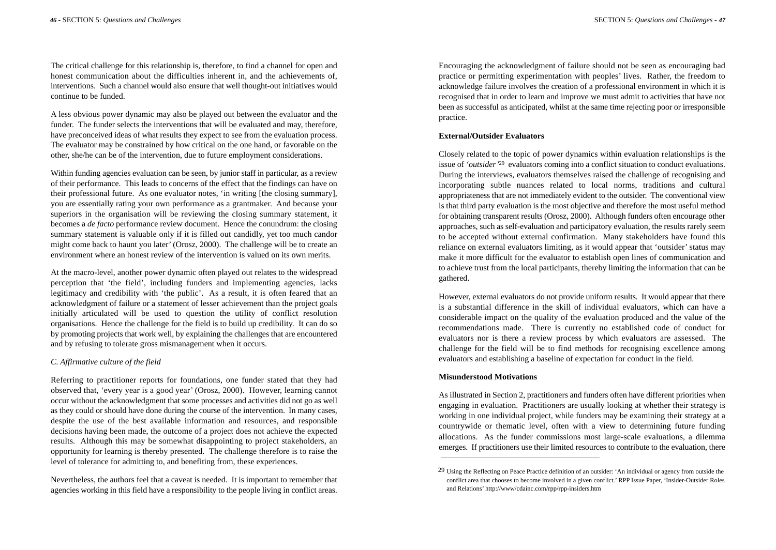The critical challenge for this relationship is, therefore, to find a channel for open and honest communication about the difficulties inherent in, and the achievements of, interventions. Such a channel would also ensure that well thought-out initiatives would continue to be funded.

A less obvious power dynamic may also be played out between the evaluator and the funder. The funder selects the interventions that will be evaluated and may, therefore, have preconceived ideas of what results they expect to see from the evaluation process. The evaluator may be constrained by how critical on the one hand, or favorable on the other, she/he can be of the intervention, due to future employment considerations.

Within funding agencies evaluation can be seen, by junior staff in particular, as a review of their performance. This leads to concerns of the effect that the findings can have on their professional future. As one evaluator notes, 'in writing [the closing summary], you are essentially rating your own performance as a grantmaker. And because your superiors in the organisation will be reviewing the closing summary statement, it becomes a *de facto* performance review document. Hence the conundrum: the closing summary statement is valuable only if it is filled out candidly, yet too much candor might come back to haunt you later' (Orosz, 2000). The challenge will be to create an environment where an honest review of the intervention is valued on its own merits.

At the macro-level, another power dynamic often played out relates to the widespread perception that 'the field', including funders and implementing agencies, lacks legitimacy and credibility with 'the public'. As a result, it is often feared that an acknowledgment of failure or a statement of lesser achievement than the project goals initially articulated will be used to question the utility of conflict resolution organisations. Hence the challenge for the field is to build up credibility. It can do so by promoting projects that work well, by explaining the challenges that are encountered and by refusing to tolerate gross mismanagement when it occurs.

#### *C. Affirmative culture of the field*

Referring to practitioner reports for foundations, one funder stated that they had observed that, 'every year is a good year' (Orosz, 2000). However, learning cannot occur without the acknowledgment that some processes and activities did not go as well as they could or should have done during the course of the intervention. In many cases, despite the use of the best available information and resources, and responsible decisions having been made, the outcome of a project does not achieve the expected results. Although this may be somewhat disappointing to project stakeholders, an opportunity for learning is thereby presented. The challenge therefore is to raise the level of tolerance for admitting to, and benefiting from, these experiences.

Nevertheless, the authors feel that a caveat is needed. It is important to remember that agencies working in this field have a responsibility to the people living in conflict areas. Encouraging the acknowledgment of failure should not be seen as encouraging bad practice or permitting experimentation with peoples' lives. Rather, the freedom to acknowledge failure involves the creation of a professional environment in which it is recognised that in order to learn and improve we must admit to activities that have not been as successful as anticipated, whilst at the same time rejecting poor or irresponsible practice.

#### **External/Outsider Evaluators**

Closely related to the topic of power dynamics within evaluation relationships is the issue of *'outsider'*<sup>29</sup> evaluators coming into a conflict situation to conduct evaluations. During the interviews, evaluators themselves raised the challenge of recognising and incorporating subtle nuances related to local norms, traditions and cultural appropriateness that are not immediately evident to the outsider. The conventional view is that third party evaluation is the most objective and therefore the most useful method for obtaining transparent results (Orosz, 2000). Although funders often encourage other approaches, such as self-evaluation and participatory evaluation, the results rarely seem to be accepted without external confirmation. Many stakeholders have found this reliance on external evaluators limiting, as it would appear that 'outsider' status may make it more difficult for the evaluator to establish open lines of communication and to achieve trust from the local participants, thereby limiting the information that can be gathered.

However, external evaluators do not provide uniform results. It would appear that there is a substantial difference in the skill of individual evaluators, which can have a considerable impact on the quality of the evaluation produced and the value of the recommendations made. There is currently no established code of conduct for evaluators nor is there a review process by which evaluators are assessed. The challenge for the field will be to find methods for recognising excellence among evaluators and establishing a baseline of expectation for conduct in the field.

#### **Misunderstood Motivations**

As illustrated in Section 2, practitioners and funders often have different priorities when engaging in evaluation. Practitioners are usually looking at whether their strategy is working in one individual project, while funders may be examining their strategy at a countrywide or thematic level, often with a view to determining future funding allocations. As the funder commissions most large-scale evaluations, a dilemma emerges. If practitioners use their limited resources to contribute to the evaluation, there

<sup>29</sup> Using the Reflecting on Peace Practice definition of an outsider: 'An individual or agency from outside the conflict area that chooses to become involved in a given conflict.' RPP Issue Paper, 'Insider-Outsider Roles and Relations' http://www/cdainc.com/rpp/rpp-insiders.htm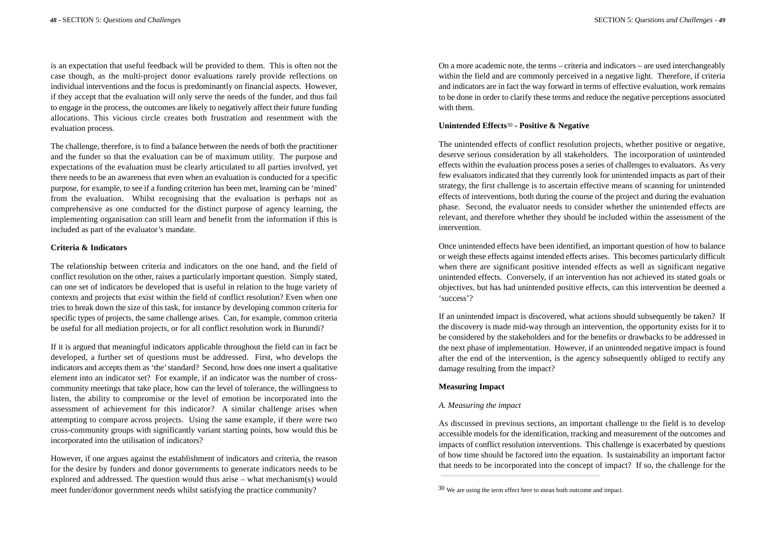is an expectation that useful feedback will be provided to them. This is often not the case though, as the multi-project donor evaluations rarely provide reflections on individual interventions and the focus is predominantly on financial aspects. However, if they accept that the evaluation will only serve the needs of the funder, and thus fail to engage in the process, the outcomes are likely to negatively affect their future funding allocations. This vicious circle creates both frustration and resentment with the evaluation process.

The challenge, therefore, is to find a balance between the needs of both the practitioner and the funder so that the evaluation can be of maximum utility. The purpose and expectations of the evaluation must be clearly articulated to all parties involved, yet there needs to be an awareness that even when an evaluation is conducted for a specific purpose, for example, to see if a funding criterion has been met, learning can be 'mined' from the evaluation. Whilst recognising that the evaluation is perhaps not as comprehensive as one conducted for the distinct purpose of agency learning, the implementing organisation can still learn and benefit from the information if this is included as part of the evaluator's mandate.

#### **Criteria & Indicators**

The relationship between criteria and indicators on the one hand, and the field of conflict resolution on the other, raises a particularly important question. Simply stated, can one set of indicators be developed that is useful in relation to the huge variety of contexts and projects that exist within the field of conflict resolution? Even when one tries to break down the size of this task, for instance by developing common criteria for specific types of projects, the same challenge arises. Can, for example, common criteria be useful for all mediation projects, or for all conflict resolution work in Burundi?

If it is argued that meaningful indicators applicable throughout the field can in fact be developed, a further set of questions must be addressed. First, who develops the indicators and accepts them as 'the'standard? Second, how does one insert a qualitative element into an indicator set? For example, if an indicator was the number of crosscommunity meetings that take place, how can the level of tolerance, the willingness to listen, the ability to compromise or the level of emotion be incorporated into the assessment of achievement for this indicator? A similar challenge arises when attempting to compare across projects. Using the same example, if there were two cross-community groups with significantly variant starting points, how would this be incorporated into the utilisation of indicators?

However, if one argues against the establishment of indicators and criteria, the reason for the desire by funders and donor governments to generate indicators needs to be explored and addressed. The question would thus arise – what mechanism(s) would meet funder/donor government needs whilst satisfying the practice community?

On a more academic note, the terms – criteria and indicators – are used interchangeably within the field and are commonly perceived in a negative light. Therefore, if criteria and indicators are in fact the way forward in terms of effective evaluation, work remains to be done in order to clarify these terms and reduce the negative perceptions associated with them.

#### **Unintended Effects**<sup>30</sup> **- Positive & Negative**

The unintended effects of conflict resolution projects, whether positive or negative, deserve serious consideration by all stakeholders. The incorporation of unintended effects within the evaluation process poses a series of challenges to evaluators. As very few evaluators indicated that they currently look for unintended impacts as part of their strategy, the first challenge is to ascertain effective means of scanning for unintended effects of interventions, both during the course of the project and during the evaluation phase. Second, the evaluator needs to consider whether the unintended effects are relevant, and therefore whether they should be included within the assessment of the intervention.

Once unintended effects have been identified, an important question of how to balance or weigh these effects against intended effects arises. This becomes particularly difficult when there are significant positive intended effects as well as significant negative unintended effects. Conversely, if an intervention has not achieved its stated goals or objectives, but has had unintended positive effects, can this intervention be deemed a 'success'?

If an unintended impact is discovered, what actions should subsequently be taken? If the discovery is made mid-way through an intervention, the opportunity exists for it to be considered by the stakeholders and for the benefits or drawbacks to be addressed in the next phase of implementation. However, if an unintended negative impact is found after the end of the intervention, is the agency subsequently obliged to rectify any damage resulting from the impact?

#### **Measuring Impact**

#### *A. Measuring the impact*

As discussed in previous sections, an important challenge to the field is to develop accessible models for the identification, tracking and measurement of the outcomes and impacts of conflict resolution interventions. This challenge is exacerbated by questions of how time should be factored into the equation. Is sustainability an important factor that needs to be incorporated into the concept of impact? If so, the challenge for the

<sup>30</sup> We are using the term effect here to mean both outcome and impact.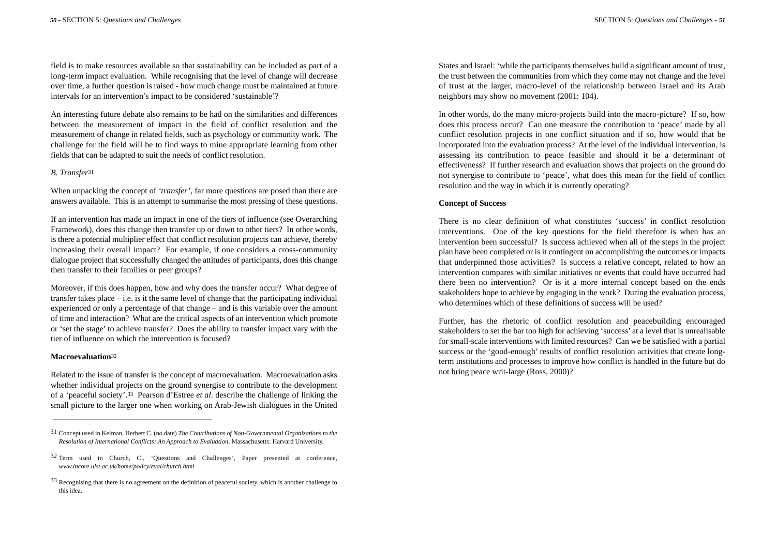field is to make resources available so that sustainability can be included as part of a long-term impact evaluation. While recognising that the level of change will decrease over time, a further question is raised - how much change must be maintained at future intervals for an intervention's impact to be considered 'sustainable'?

An interesting future debate also remains to be had on the similarities and differences between the measurement of impact in the field of conflict resolution and the measurement of change in related fields, such as psychology or community work. The challenge for the field will be to find ways to mine appropriate learning from other fields that can be adapted to suit the needs of conflict resolution.

#### *B. Transfer*<sup>31</sup>

When unpacking the concept of *'transfer'*, far more questions are posed than there are answers available. This is an attempt to summarise the most pressing of these questions.

If an intervention has made an impact in one of the tiers of influence (see Overarching Framework), does this change then transfer up or down to other tiers? In other words, is there a potential multiplier effect that conflict resolution projects can achieve, thereby increasing their overall impact? For example, if one considers a cross-community dialogue project that successfully changed the attitudes of participants, does this change then transfer to their families or peer groups?

Moreover, if this does happen, how and why does the transfer occur? What degree of transfer takes place  $-$  i.e. is it the same level of change that the participating individual experienced or only a percentage of that change – and is this variable over the amount of time and interaction? What are the critical aspects of an intervention which promote or 'set the stage' to achieve transfer? Does the ability to transfer impact vary with the tier of influence on which the intervention is focused?

#### **Macroevaluation**<sup>32</sup>

Related to the issue of transfer is the concept of macroevaluation. Macroevaluation asks whether individual projects on the ground synergise to contribute to the development of a 'peaceful society'.33 Pearson d'Estree *et al*. describe the challenge of linking the small picture to the larger one when working on Arab-Jewish dialogues in the United

States and Israel: 'while the participants themselves build a significant amount of trust, the trust between the communities from which they come may not change and the level of trust at the larger, macro-level of the relationship between Israel and its Arab neighbors may show no movement (2001: 104).

In other words, do the many micro-projects build into the macro-picture? If so, how does this process occur? Can one measure the contribution to 'peace' made by all conflict resolution projects in one conflict situation and if so, how would that be incorporated into the evaluation process? At the level of the individual intervention, is assessing its contribution to peace feasible and should it be a determinant of effectiveness? If further research and evaluation shows that projects on the ground do not synergise to contribute to 'peace', what does this mean for the field of conflict resolution and the way in which it is currently operating?

#### **Concept of Success**

There is no clear definition of what constitutes 'success' in conflict resolution interventions. One of the key questions for the field therefore is when has an intervention been successful? Is success achieved when all of the steps in the project plan have been completed or is it contingent on accomplishing the outcomes or impacts that underpinned those activities? Is success a relative concept, related to how an intervention compares with similar initiatives or events that could have occurred had there been no intervention? Or is it a more internal concept based on the ends stakeholders hope to achieve by engaging in the work? During the evaluation process, who determines which of these definitions of success will be used?

Further, has the rhetoric of conflict resolution and peacebuilding encouraged stakeholders to set the bar too high for achieving 'success' at a level that is unrealisable for small-scale interventions with limited resources? Can we be satisfied with a partial success or the 'good-enough' results of conflict resolution activities that create longterm institutions and processes to improve how conflict is handled in the future but do not bring peace writ-large (Ross, 2000)?

<sup>31</sup> Concept used in Kelman, Herbert C. (no date) *The Contributions of Non-Governmental Organizations to the Resolution of International Conflicts: An Approach to Evaluation*. Massachusetts: Harvard University.

<sup>32</sup> Term used in Church, C., 'Questions and Challenges', Paper presented at conference, *www.incore.ulst.ac.uk/home/policy/eval/church.html*

<sup>33</sup> Recognising that there is no agreement on the definition of peaceful society, which is another challenge to this idea.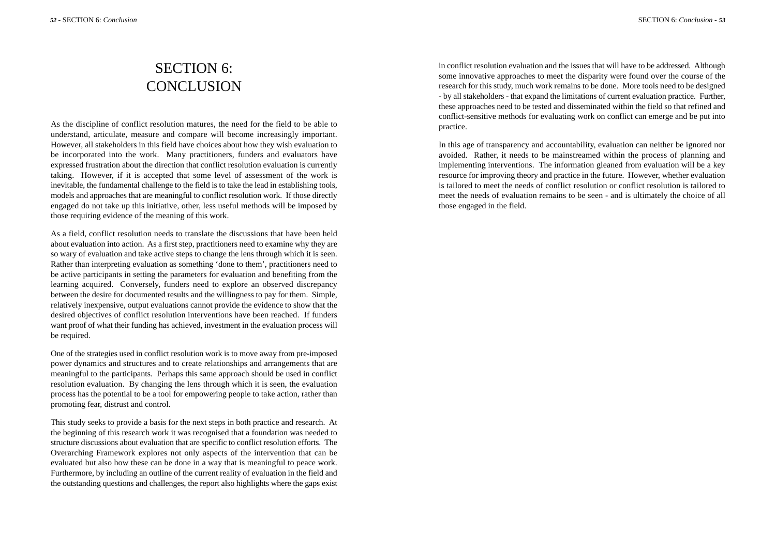## SECTION 6: **CONCLUSION**

As the discipline of conflict resolution matures, the need for the field to be able to understand, articulate, measure and compare will become increasingly important. However, all stakeholders in this field have choices about how they wish evaluation to be incorporated into the work. Many practitioners, funders and evaluators have expressed frustration about the direction that conflict resolution evaluation is currently taking. However, if it is accepted that some level of assessment of the work is inevitable, the fundamental challenge to the field is to take the lead in establishing tools, models and approaches that are meaningful to conflict resolution work. If those directly engaged do not take up this initiative, other, less useful methods will be imposed by those requiring evidence of the meaning of this work.

As a field, conflict resolution needs to translate the discussions that have been held about evaluation into action. As a first step, practitioners need to examine why they are so wary of evaluation and take active steps to change the lens through which it is seen. Rather than interpreting evaluation as something 'done to them', practitioners need to be active participants in setting the parameters for evaluation and benefiting from the learning acquired. Conversely, funders need to explore an observed discrepancy between the desire for documented results and the willingness to pay for them. Simple, relatively inexpensive, output evaluations cannot provide the evidence to show that the desired objectives of conflict resolution interventions have been reached. If funders want proof of what their funding has achieved, investment in the evaluation process will be required.

One of the strategies used in conflict resolution work is to move away from pre-imposed power dynamics and structures and to create relationships and arrangements that are meaningful to the participants. Perhaps this same approach should be used in conflict resolution evaluation. By changing the lens through which it is seen, the evaluation process has the potential to be a tool for empowering people to take action, rather than promoting fear, distrust and control.

This study seeks to provide a basis for the next steps in both practice and research. At the beginning of this research work it was recognised that a foundation was needed to structure discussions about evaluation that are specific to conflict resolution efforts. The Overarching Framework explores not only aspects of the intervention that can be evaluated but also how these can be done in a way that is meaningful to peace work. Furthermore, by including an outline of the current reality of evaluation in the field and the outstanding questions and challenges, the report also highlights where the gaps exist

in conflict resolution evaluation and the issues that will have to be addressed. Although some innovative approaches to meet the disparity were found over the course of the research for this study, much work remains to be done. More tools need to be designed - by all stakeholders - that expand the limitations of current evaluation practice. Further, these approaches need to be tested and disseminated within the field so that refined and conflict-sensitive methods for evaluating work on conflict can emerge and be put into practice.

In this age of transparency and accountability, evaluation can neither be ignored nor avoided. Rather, it needs to be mainstreamed within the process of planning and implementing interventions. The information gleaned from evaluation will be a key resource for improving theory and practice in the future. However, whether evaluation is tailored to meet the needs of conflict resolution or conflict resolution is tailored to meet the needs of evaluation remains to be seen - and is ultimately the choice of all those engaged in the field.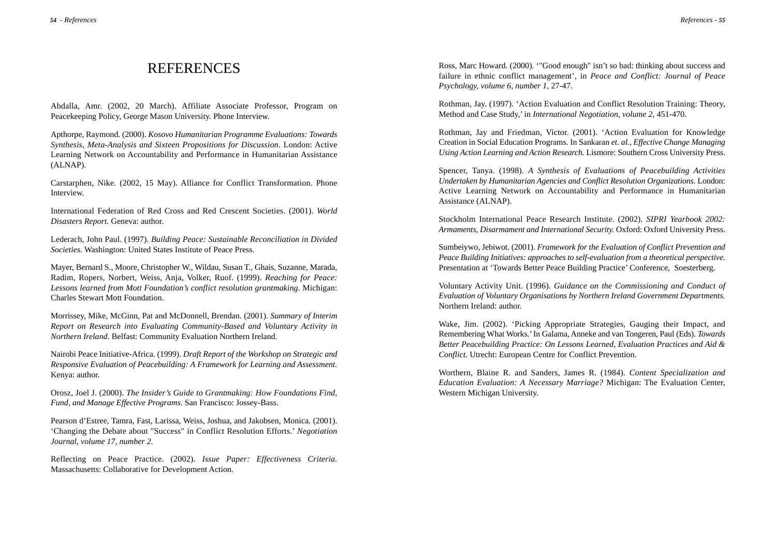### **REFERENCES**

Abdalla, Amr. (2002, 20 March). Affiliate Associate Professor, Program on Peacekeeping Policy, George Mason University. Phone Interview.

Apthorpe, Raymond. (2000). *Kosovo Humanitarian Programme Evaluations: Towards Synthesis, Meta-Analysis and Sixteen Propositions for Discussion.* London: Active Learning Network on Accountability and Performance in Humanitarian Assistance (ALNAP).

Carstarphen, Nike. (2002, 15 May). Alliance for Conflict Transformation. Phone Interview.

International Federation of Red Cross and Red Crescent Societies. (2001). *World Disasters Report.* Geneva: author.

Lederach, John Paul. (1997). *Building Peace: Sustainable Reconciliation in Divided Societies.* Washington: United States Institute of Peace Press.

Mayer, Bernard S., Moore, Christopher W., Wildau, Susan T., Ghais, Suzanne, Marada, Radim, Ropers, Norbert, Weiss, Anja, Volker, Ruof. (1999). *Reaching for Peace: Lessons learned from Mott Foundation's conflict resolution grantmaking.* Michigan: Charles Stewart Mott Foundation.

Morrissey, Mike, McGinn, Pat and McDonnell, Brendan. (2001). *Summary of Interim Report on Research into Evaluating Community-Based and Voluntary Activity in Northern Ireland*. Belfast: Community Evaluation Northern Ireland.

Nairobi Peace Initiative-Africa. (1999). *Draft Report of the Workshop on Strategic and Responsive Evaluation of Peacebuilding: A Framework for Learning and Assessment.* Kenya: author.

Orosz, Joel J. (2000). *The Insider's Guide to Grantmaking: How Foundations Find, Fund, and Manage Effective Programs.* San Francisco: Jossey-Bass.

Pearson d'Estree, Tamra, Fast, Larissa, Weiss, Joshua, and Jakobsen, Monica. (2001). 'Changing the Debate about "Success" in Conflict Resolution Efforts.' *Negotiation Journal, volume 17, number 2.*

Reflecting on Peace Practice. (2002). *Issue Paper: Effectiveness Criteria.* Massachusetts: Collaborative for Development Action.

Ross, Marc Howard. (2000). '"Good enough" isn't so bad: thinking about success and failure in ethnic conflict management', in *Peace and Conflict: Journal of Peace Psychology, volume 6, number 1,* 27-47.

Rothman, Jay. (1997). 'Action Evaluation and Conflict Resolution Training: Theory, Method and Case Study,' in *International Negotiation, volume 2*, 451-470.

Rothman, Jay and Friedman, Victor. (2001). 'Action Evaluation for Knowledge Creation in Social Education Programs. In Sankaran *et. al., Effective Change Managing Using Action Learning and Action Research.* Lismore: Southern Cross University Press.

Spencer, Tanya. (1998). *A Synthesis of Evaluations of Peacebuilding Activities Undertaken by Humanitarian Agencies and Conflict Resolution Organizations.* London: Active Learning Network on Accountability and Performance in Humanitarian Assistance (ALNAP).

Stockholm International Peace Research Institute. (2002). *SIPRI Yearbook 2002: Armaments, Disarmament and International Security.* Oxford: Oxford University Press.

Sumbeiywo, Jebiwot. (2001). *Framework for the Evaluation of Conflict Prevention and Peace Building Initiatives: approaches to self-evaluation from a theoretical perspective.* Presentation at 'Towards Better Peace Building Practice' Conference, Soesterberg.

Voluntary Activity Unit. (1996). *Guidance on the Commissioning and Conduct of Evaluation of Voluntary Organisations by Northern Ireland Government Departments.* Northern Ireland: author.

Wake, Jim. (2002). 'Picking Appropriate Strategies, Gauging their Impact, and Remembering What Works.'In Galama, Anneke and van Tongeren, Paul (Eds). *Towards Better Peacebuilding Practice: On Lessons Learned, Evaluation Practices and Aid & Conflict.* Utrecht: European Centre for Conflict Prevention.

Worthern, Blaine R. and Sanders, James R. (1984). *Content Specialization and Education Evaluation: A Necessary Marriage?* Michigan: The Evaluation Center, Western Michigan University.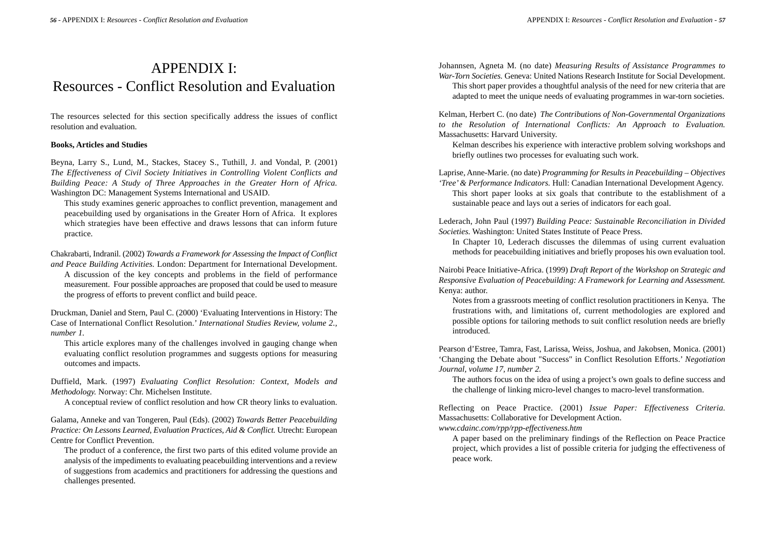### APPENDIX I: Resources - Conflict Resolution and Evaluation

The resources selected for this section specifically address the issues of conflict resolution and evaluation.

#### **Books, Articles and Studies**

Beyna, Larry S., Lund, M., Stackes, Stacey S., Tuthill, J. and Vondal, P. (2001) *The Effectiveness of Civil Society Initiatives in Controlling Violent Conflicts and Building Peace: A Study of Three Approaches in the Greater Horn of Africa.* Washington DC: Management Systems International and USAID.

This study examines generic approaches to conflict prevention, management and peacebuilding used by organisations in the Greater Horn of Africa. It explores which strategies have been effective and draws lessons that can inform future practice.

Chakrabarti, Indranil. (2002) *Towards a Framework for Assessing the Impact of Conflict and Peace Building Activities.* London: Department for International Development. A discussion of the key concepts and problems in the field of performance measurement. Four possible approaches are proposed that could be used to measure the progress of efforts to prevent conflict and build peace.

Druckman, Daniel and Stern, Paul C. (2000) 'Evaluating Interventions in History: The Case of International Conflict Resolution.' *International Studies Review, volume 2., number 1.*

This article explores many of the challenges involved in gauging change when evaluating conflict resolution programmes and suggests options for measuring outcomes and impacts.

Duffield, Mark. (1997) *Evaluating Conflict Resolution: Context, Models and Methodology.* Norway: Chr. Michelsen Institute.

A conceptual review of conflict resolution and how CR theory links to evaluation.

Galama, Anneke and van Tongeren, Paul (Eds). (2002) *Towards Better Peacebuilding Practice: On Lessons Learned, Evaluation Practices, Aid & Conflict.* Utrecht: European Centre for Conflict Prevention.

The product of a conference, the first two parts of this edited volume provide an analysis of the impediments to evaluating peacebuilding interventions and a review of suggestions from academics and practitioners for addressing the questions and challenges presented.

Johannsen, Agneta M. (no date) *Measuring Results of Assistance Programmes to War-Torn Societies.* Geneva: United Nations Research Institute for Social Development. This short paper provides a thoughtful analysis of the need for new criteria that are

adapted to meet the unique needs of evaluating programmes in war-torn societies.

Kelman, Herbert C. (no date) *The Contributions of Non-Governmental Organizations to the Resolution of International Conflicts: An Approach to Evaluation.* Massachusetts: Harvard University.

Kelman describes his experience with interactive problem solving workshops and briefly outlines two processes for evaluating such work.

Laprise, Anne-Marie. (no date) *Programming for Results in Peacebuilding – Objectives 'Tree'& Performance Indicators.* Hull: Canadian International Development Agency. This short paper looks at six goals that contribute to the establishment of a

sustainable peace and lays out a series of indicators for each goal.

Lederach, John Paul (1997) *Building Peace: Sustainable Reconciliation in Divided Societies.* Washington: United States Institute of Peace Press.

In Chapter 10, Lederach discusses the dilemmas of using current evaluation methods for peacebuilding initiatives and briefly proposes his own evaluation tool.

Nairobi Peace Initiative-Africa. (1999) *Draft Report of the Workshop on Strategic and Responsive Evaluation of Peacebuilding: A Framework for Learning and Assessment.* Kenya: author.

Notes from a grassroots meeting of conflict resolution practitioners in Kenya. The frustrations with, and limitations of, current methodologies are explored and possible options for tailoring methods to suit conflict resolution needs are briefly introduced.

Pearson d'Estree, Tamra, Fast, Larissa, Weiss, Joshua, and Jakobsen, Monica. (2001) 'Changing the Debate about "Success" in Conflict Resolution Efforts.' *Negotiation Journal, volume 17, number 2.*

The authors focus on the idea of using a project's own goals to define success and the challenge of linking micro-level changes to macro-level transformation.

Reflecting on Peace Practice. (2001) *Issue Paper: Effectiveness Criteria.* Massachusetts: Collaborative for Development Action.

*www.cdainc.com/rpp/rpp-effectiveness.htm*

A paper based on the preliminary findings of the Reflection on Peace Practice project, which provides a list of possible criteria for judging the effectiveness of peace work.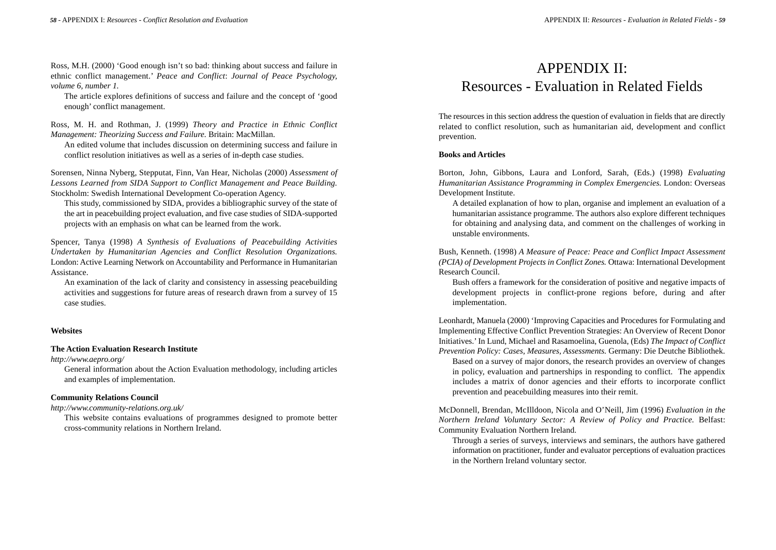Ross, M.H. (2000) 'Good enough isn't so bad: thinking about success and failure in ethnic conflict management.' *Peace and Conflict*: *Journal of Peace Psychology, volume 6, number 1.*

The article explores definitions of success and failure and the concept of 'good enough' conflict management.

Ross, M. H. and Rothman, J. (1999) *Theory and Practice in Ethnic Conflict Management: Theorizing Success and Failure.* Britain: MacMillan.

An edited volume that includes discussion on determining success and failure in conflict resolution initiatives as well as a series of in-depth case studies.

Sorensen, Ninna Nyberg, Stepputat, Finn, Van Hear, Nicholas (2000) *Assessment of Lessons Learned from SIDA Support to Conflict Management and Peace Building.* Stockholm: Swedish International Development Co-operation Agency.

This study, commissioned by SIDA, provides a bibliographic survey of the state of the art in peacebuilding project evaluation, and five case studies of SIDA-supported projects with an emphasis on what can be learned from the work.

Spencer, Tanya (1998) *A Synthesis of Evaluations of Peacebuilding Activities Undertaken by Humanitarian Agencies and Conflict Resolution Organizations.* London: Active Learning Network on Accountability and Performance in Humanitarian Assistance.

An examination of the lack of clarity and consistency in assessing peacebuilding activities and suggestions for future areas of research drawn from a survey of 15 case studies.

#### **Websites**

#### **The Action Evaluation Research Institute**

*http://www.aepro.org/*

General information about the Action Evaluation methodology, including articles and examples of implementation.

#### **Community Relations Council**

*http://www.community-relations.org.uk/* 

This website contains evaluations of programmes designed to promote better cross-community relations in Northern Ireland.

## APPENDIX II: Resources - Evaluation in Related Fields

The resources in this section address the question of evaluation in fields that are directly related to conflict resolution, such as humanitarian aid, development and conflict prevention.

#### **Books and Articles**

Borton, John, Gibbons, Laura and Lonford, Sarah, (Eds.) (1998) *Evaluating Humanitarian Assistance Programming in Complex Emergencies.* London: Overseas Development Institute.

A detailed explanation of how to plan, organise and implement an evaluation of a humanitarian assistance programme. The authors also explore different techniques for obtaining and analysing data, and comment on the challenges of working in unstable environments.

Bush, Kenneth. (1998) *A Measure of Peace: Peace and Conflict Impact Assessment (PCIA) of Development Projects in Conflict Zones.* Ottawa: International Development Research Council.

Bush offers a framework for the consideration of positive and negative impacts of development projects in conflict-prone regions before, during and after implementation.

Leonhardt, Manuela (2000) 'Improving Capacities and Procedures for Formulating and Implementing Effective Conflict Prevention Strategies: An Overview of Recent Donor Initiatives.'In Lund, Michael and Rasamoelina, Guenola, (Eds) *The Impact of Conflict Prevention Policy: Cases, Measures, Assessments.* Germany: Die Deutche Bibliothek. Based on a survey of major donors, the research provides an overview of changes in policy, evaluation and partnerships in responding to conflict. The appendix includes a matrix of donor agencies and their efforts to incorporate conflict prevention and peacebuilding measures into their remit.

McDonnell, Brendan, McIlldoon, Nicola and O'Neill, Jim (1996) *Evaluation in the Northern Ireland Voluntary Sector: A Review of Policy and Practice.* Belfast: Community Evaluation Northern Ireland.

Through a series of surveys, interviews and seminars, the authors have gathered information on practitioner, funder and evaluator perceptions of evaluation practices in the Northern Ireland voluntary sector.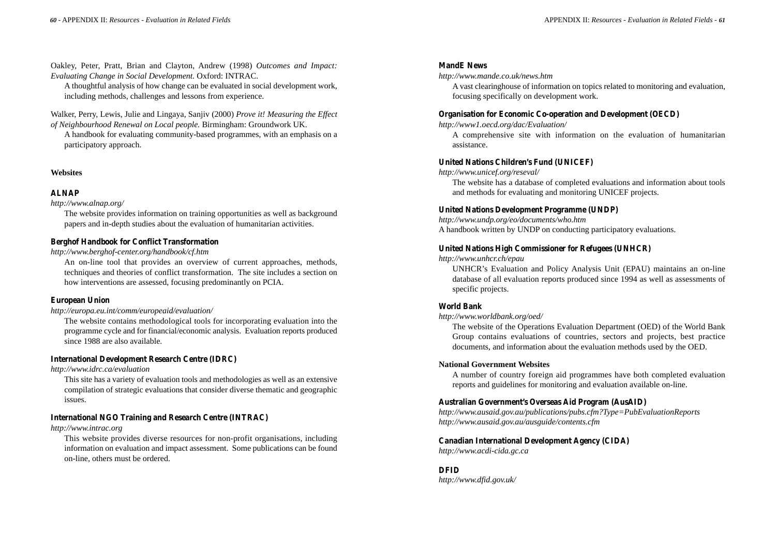Oakley, Peter, Pratt, Brian and Clayton, Andrew (1998) *Outcomes and Impact: Evaluating Change in Social Development.* Oxford: INTRAC.

A thoughtful analysis of how change can be evaluated in social development work, including methods, challenges and lessons from experience.

Walker, Perry, Lewis, Julie and Lingaya, Sanjiv (2000) *Prove it! Measuring the Effect of Neighbourhood Renewal on Local people.* Birmingham: Groundwork UK.

A handbook for evaluating community-based programmes, with an emphasis on a participatory approach.

#### **Websites**

#### **ALNAP**

*http://www.alnap.org/*

The website provides information on training opportunities as well as background papers and in-depth studies about the evaluation of humanitarian activities.

#### **Berghof Handbook for Conflict Transformation**

*http://www.berghof-center.org/handbook/cf.htm*

An on-line tool that provides an overview of current approaches, methods, techniques and theories of conflict transformation. The site includes a section on how interventions are assessed, focusing predominantly on PCIA.

#### **European Union**

*http://europa.eu.int/comm/europeaid/evaluation/*

The website contains methodological tools for incorporating evaluation into the programme cycle and for financial/economic analysis. Evaluation reports produced since 1988 are also available.

#### **International Development Research Centre (IDRC)**

*http://www.idrc.ca/evaluation* 

This site has a variety of evaluation tools and methodologies as well as an extensive compilation of strategic evaluations that consider diverse thematic and geographic issues.

#### **International NGO Training and Research Centre (INTRAC)**

*http://www.intrac.org*

This website provides diverse resources for non-profit organisations, including information on evaluation and impact assessment. Some publications can be found on-line, others must be ordered.

#### **MandE News**

*http://www.mande.co.uk/news.htm*

A vast clearinghouse of information on topics related to monitoring and evaluation, focusing specifically on development work.

#### **Organisation for Economic Co-operation and Development (OECD)**

*http://www1.oecd.org/dac/Evaluation/*

A comprehensive site with information on the evaluation of humanitarian assistance.

#### **United Nations Children's Fund (UNICEF)**

*http://www.unicef.org/reseval/*

The website has a database of completed evaluations and information about tools and methods for evaluating and monitoring UNICEF projects.

#### **United Nations Development Programme (UNDP)**

*http://www.undp.org/eo/documents/who.htm* A handbook written by UNDP on conducting participatory evaluations.

#### **United Nations High Commissioner for Refugees (UNHCR)**

*http://www.unhcr.ch/epau*

UNHCR's Evaluation and Policy Analysis Unit (EPAU) maintains an on-line database of all evaluation reports produced since 1994 as well as assessments of specific projects.

#### **World Bank**

*http://www.worldbank.org/oed/*

The website of the Operations Evaluation Department (OED) of the World Bank Group contains evaluations of countries, sectors and projects, best practice documents, and information about the evaluation methods used by the OED.

#### **National Government Websites**

A number of country foreign aid programmes have both completed evaluation reports and guidelines for monitoring and evaluation available on-line.

#### **Australian Government's Overseas Aid Program (AusAID)**

*http://www.ausaid.gov.au/publications/pubs.cfm?Type=PubEvaluationReports http://www.ausaid.gov.au/ausguide/contents.cfm*

#### **Canadian International Development Agency (CIDA)**

*http://www.acdi-cida.gc.ca*

#### **DFID**

*http://www.dfid.gov.uk/*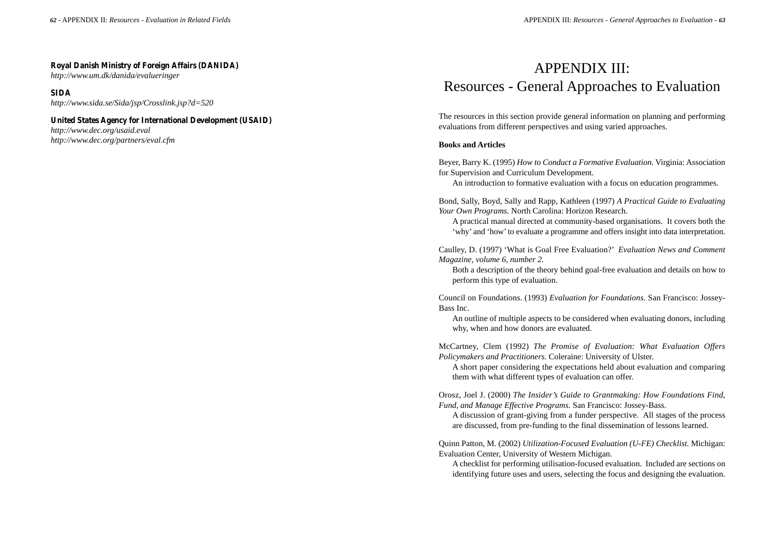#### **Royal Danish Ministry of Foreign Affairs (DANIDA)**

*http://www.um.dk/danida/evalueringer*

**SIDA**

*http://www.sida.se/Sida/jsp/Crosslink.jsp?d=520*

#### **United States Agency for International Development (USAID)**

*http://www.dec.org/usaid.eval http://www.dec.org/partners/eval.cfm*

## APPENDIX III: Resources - General Approaches to Evaluation

The resources in this section provide general information on planning and performing evaluations from different perspectives and using varied approaches.

#### **Books and Articles**

Beyer, Barry K. (1995) *How to Conduct a Formative Evaluation.* Virginia: Association for Supervision and Curriculum Development.

An introduction to formative evaluation with a focus on education programmes.

Bond, Sally, Boyd, Sally and Rapp, Kathleen (1997) *A Practical Guide to Evaluating Your Own Programs.* North Carolina: Horizon Research.

A practical manual directed at community-based organisations. It covers both the 'why' and 'how'to evaluate a programme and offers insight into data interpretation.

Caulley, D. (1997) 'What is Goal Free Evaluation?' *Evaluation News and Comment Magazine, volume 6, number 2.*

Both a description of the theory behind goal-free evaluation and details on how to perform this type of evaluation.

Council on Foundations. (1993) *Evaluation for Foundations.* San Francisco: Jossey-Bass Inc.

An outline of multiple aspects to be considered when evaluating donors, including why, when and how donors are evaluated.

McCartney, Clem (1992) *The Promise of Evaluation: What Evaluation Offers Policymakers and Practitioners.* Coleraine: University of Ulster.

A short paper considering the expectations held about evaluation and comparing them with what different types of evaluation can offer.

Orosz, Joel J. (2000) *The Insider's Guide to Grantmaking: How Foundations Find, Fund, and Manage Effective Programs.* San Francisco: Jossey-Bass.

A discussion of grant-giving from a funder perspective. All stages of the process are discussed, from pre-funding to the final dissemination of lessons learned.

Quinn Patton, M. (2002) *Utilization-Focused Evaluation (U-FE) Checklist.* Michigan: Evaluation Center, University of Western Michigan.

A checklist for performing utilisation-focused evaluation. Included are sections on identifying future uses and users, selecting the focus and designing the evaluation.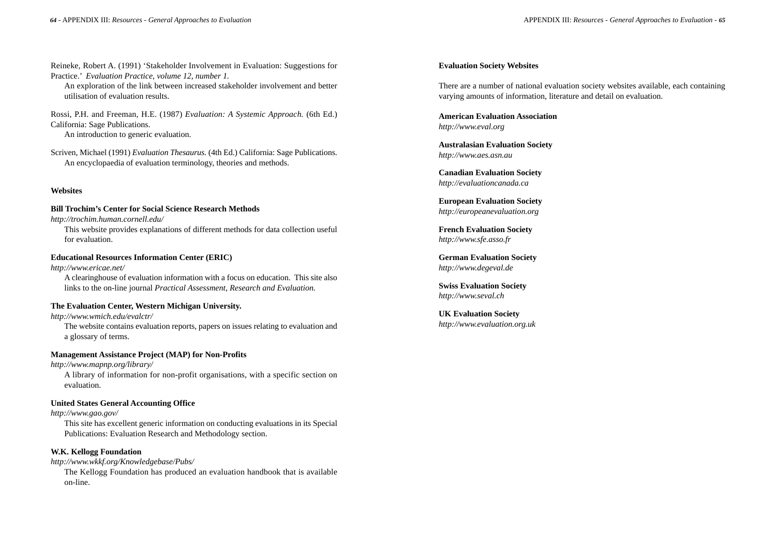Reineke, Robert A. (1991) 'Stakeholder Involvement in Evaluation: Suggestions for Practice.' *Evaluation Practice, volume 12, number 1.*

An exploration of the link between increased stakeholder involvement and better utilisation of evaluation results.

Rossi, P.H. and Freeman, H.E. (1987) *Evaluation: A Systemic Approach.* (6th Ed.) California: Sage Publications. An introduction to generic evaluation.

Scriven, Michael (1991) *Evaluation Thesaurus.* (4th Ed.) California: Sage Publications. An encyclopaedia of evaluation terminology, theories and methods.

#### **Websites**

#### **Bill Trochim's Center for Social Science Research Methods**

*http://trochim.human.cornell.edu/*

This website provides explanations of different methods for data collection useful for evaluation.

#### **Educational Resources Information Center (ERIC)**

*http://www.ericae.net/*

A clearinghouse of evaluation information with a focus on education. This site also links to the on-line journal *Practical Assessment, Research and Evaluation.*

#### **The Evaluation Center, Western Michigan University.**

*http://www.wmich.edu/evalctr/*

The website contains evaluation reports, papers on issues relating to evaluation and a glossary of terms.

#### **Management Assistance Project (MAP) for Non-Profits**

*http://www.mapnp.org/library/*

A library of information for non-profit organisations, with a specific section on evaluation.

#### **United States General Accounting Office**

*http://www.gao.gov/* This site has excellent generic information on conducting evaluations in its Special Publications: Evaluation Research and Methodology section.

#### **W.K. Kellogg Foundation**

*http://www.wkkf.org/Knowledgebase/Pubs/* The Kellogg Foundation has produced an evaluation handbook that is available on-line.

#### **Evaluation Society Websites**

There are a number of national evaluation society websites available, each containing varying amounts of information, literature and detail on evaluation.

**American Evaluation Association** *http://www.eval.org* 

**Australasian Evaluation Society** *http://www.aes.asn.au*

**Canadian Evaluation Society** *http://evaluationcanada.ca* 

**European Evaluation Society**  *http://europeanevaluation.org* 

**French Evaluation Society**  *http://www.sfe.asso.fr* 

**German Evaluation Society**  *http://www.degeval.de*

**Swiss Evaluation Society**  *http://www.seval.ch* 

**UK Evaluation Society**  *http://www.evaluation.org.uk*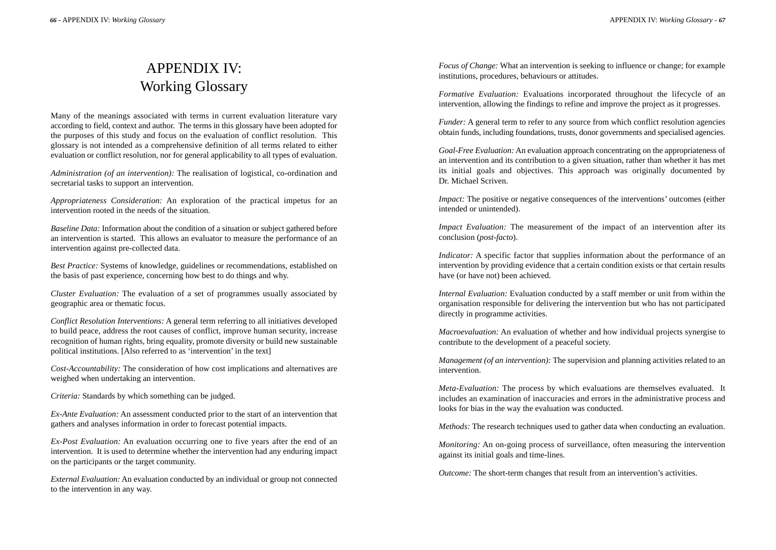## APPENDIX IV: Working Glossary

Many of the meanings associated with terms in current evaluation literature vary according to field, context and author. The terms in this glossary have been adopted for the purposes of this study and focus on the evaluation of conflict resolution. This glossary is not intended as a comprehensive definition of all terms related to either evaluation or conflict resolution, nor for general applicability to all types of evaluation.

*Administration (of an intervention):* The realisation of logistical, co-ordination and secretarial tasks to support an intervention.

*Appropriateness Consideration:* An exploration of the practical impetus for an intervention rooted in the needs of the situation.

*Baseline Data:* Information about the condition of a situation or subject gathered before an intervention is started. This allows an evaluator to measure the performance of an intervention against pre-collected data.

*Best Practice:* Systems of knowledge, guidelines or recommendations, established on the basis of past experience, concerning how best to do things and why.

*Cluster Evaluation:* The evaluation of a set of programmes usually associated by geographic area or thematic focus.

*Conflict Resolution Interventions:* A general term referring to all initiatives developed to build peace, address the root causes of conflict, improve human security, increase recognition of human rights, bring equality, promote diversity or build new sustainable political institutions. [Also referred to as 'intervention' in the text]

*Cost-Accountability:* The consideration of how cost implications and alternatives are weighed when undertaking an intervention.

*Criteria:* Standards by which something can be judged.

*Ex-Ante Evaluation:* An assessment conducted prior to the start of an intervention that gathers and analyses information in order to forecast potential impacts.

*Ex-Post Evaluation:* An evaluation occurring one to five years after the end of an intervention. It is used to determine whether the intervention had any enduring impact on the participants or the target community.

*External Evaluation:* An evaluation conducted by an individual or group not connected to the intervention in any way.

*Focus of Change:* What an intervention is seeking to influence or change; for example institutions, procedures, behaviours or attitudes.

*Formative Evaluation:* Evaluations incorporated throughout the lifecycle of an intervention, allowing the findings to refine and improve the project as it progresses.

*Funder:* A general term to refer to any source from which conflict resolution agencies obtain funds, including foundations, trusts, donor governments and specialised agencies.

*Goal-Free Evaluation:* An evaluation approach concentrating on the appropriateness of an intervention and its contribution to a given situation, rather than whether it has met its initial goals and objectives. This approach was originally documented by Dr. Michael Scriven.

*Impact:* The positive or negative consequences of the interventions' outcomes (either intended or unintended).

*Impact Evaluation:* The measurement of the impact of an intervention after its conclusion (*post-facto*).

*Indicator:* A specific factor that supplies information about the performance of an intervention by providing evidence that a certain condition exists or that certain results have (or have not) been achieved.

*Internal Evaluation:* Evaluation conducted by a staff member or unit from within the organisation responsible for delivering the intervention but who has not participated directly in programme activities.

*Macroevaluation:* An evaluation of whether and how individual projects synergise to contribute to the development of a peaceful society.

*Management (of an intervention):* The supervision and planning activities related to an intervention.

*Meta-Evaluation:* The process by which evaluations are themselves evaluated. It includes an examination of inaccuracies and errors in the administrative process and looks for bias in the way the evaluation was conducted.

*Methods:* The research techniques used to gather data when conducting an evaluation.

*Monitoring:* An on-going process of surveillance, often measuring the intervention against its initial goals and time-lines.

*Outcome:* The short-term changes that result from an intervention's activities.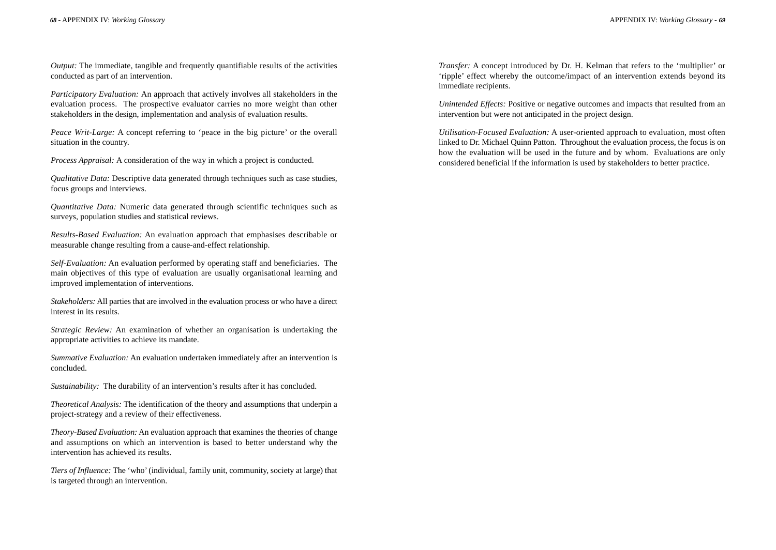*Output:* The immediate, tangible and frequently quantifiable results of the activities conducted as part of an intervention.

*Participatory Evaluation:* An approach that actively involves all stakeholders in the evaluation process. The prospective evaluator carries no more weight than other stakeholders in the design, implementation and analysis of evaluation results.

*Peace Writ-Large:* A concept referring to 'peace in the big picture' or the overall situation in the country.

*Process Appraisal:* A consideration of the way in which a project is conducted.

*Qualitative Data:* Descriptive data generated through techniques such as case studies, focus groups and interviews.

*Quantitative Data:* Numeric data generated through scientific techniques such as surveys, population studies and statistical reviews.

*Results-Based Evaluation:* An evaluation approach that emphasises describable or measurable change resulting from a cause-and-effect relationship.

*Self-Evaluation:* An evaluation performed by operating staff and beneficiaries. The main objectives of this type of evaluation are usually organisational learning and improved implementation of interventions.

*Stakeholders:* All parties that are involved in the evaluation process or who have a direct interest in its results.

*Strategic Review:* An examination of whether an organisation is undertaking the appropriate activities to achieve its mandate.

*Summative Evaluation:* An evaluation undertaken immediately after an intervention is concluded.

*Sustainability:* The durability of an intervention's results after it has concluded.

*Theoretical Analysis:* The identification of the theory and assumptions that underpin a project-strategy and a review of their effectiveness.

*Theory-Based Evaluation:* An evaluation approach that examines the theories of change and assumptions on which an intervention is based to better understand why the intervention has achieved its results.

*Tiers of Influence:* The 'who' (individual, family unit, community, society at large) that is targeted through an intervention.

*Transfer:* A concept introduced by Dr. H. Kelman that refers to the 'multiplier' or 'ripple' effect whereby the outcome/impact of an intervention extends beyond its immediate recipients.

*Unintended Effects:* Positive or negative outcomes and impacts that resulted from an intervention but were not anticipated in the project design.

*Utilisation-Focused Evaluation:* A user-oriented approach to evaluation, most often linked to Dr. Michael Quinn Patton. Throughout the evaluation process, the focus is on how the evaluation will be used in the future and by whom. Evaluations are only considered beneficial if the information is used by stakeholders to better practice.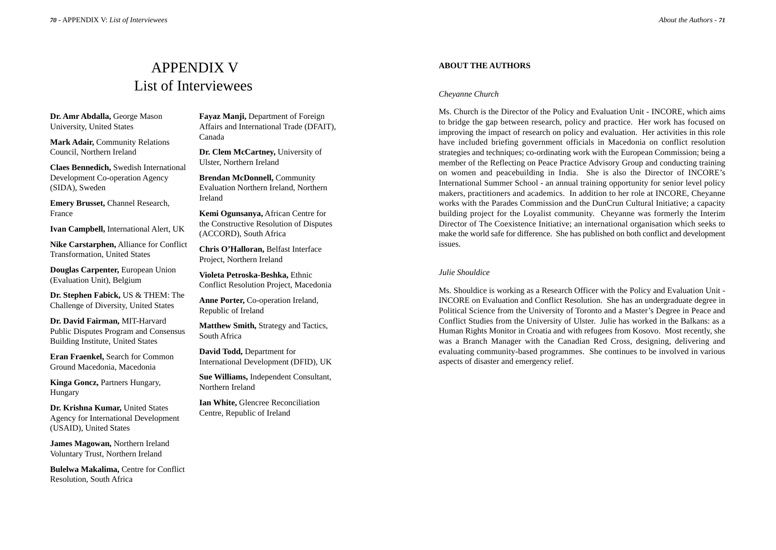## APPENDIX V List of Interviewees

**Dr. Amr Abdalla,** George Mason University, United States

**Mark Adair,** Community Relations Council, Northern Ireland

**Claes Bennedich,** Swedish International Development Co-operation Agency (SIDA), Sweden

**Emery Brusset,** Channel Research, France

**Ivan Campbell,** International Alert, UK

**Nike Carstarphen,** Alliance for Conflict Transformation, United States

**Douglas Carpenter,** European Union (Evaluation Unit), Belgium

**Dr. Stephen Fabick,** US & THEM: The Challenge of Diversity, United States

**Dr. David Fairman,** MIT-Harvard Public Disputes Program and Consensus Building Institute, United States

**Eran Fraenkel,** Search for Common Ground Macedonia, Macedonia

**Kinga Goncz,** Partners Hungary, Hungary

**Dr. Krishna Kumar,** United States Agency for International Development (USAID), United States

**James Magowan,** Northern Ireland Voluntary Trust, Northern Ireland

**Bulelwa Makalima,** Centre for Conflict Resolution, South Africa

**Fayaz Manji,** Department of Foreign Affairs and International Trade (DFAIT), Canada

**Dr. Clem McCartney,** University of Ulster, Northern Ireland

**Brendan McDonnell,** Community Evaluation Northern Ireland, Northern Ireland

**Kemi Ogunsanya,** African Centre for the Constructive Resolution of Disputes (ACCORD), South Africa

**Chris O'Halloran,** Belfast Interface Project, Northern Ireland

**Violeta Petroska-Beshka,** Ethnic Conflict Resolution Project, Macedonia

**Anne Porter,** Co-operation Ireland, Republic of Ireland

**Matthew Smith,** Strategy and Tactics, South Africa

**David Todd,** Department for International Development (DFID), UK

**Sue Williams,** Independent Consultant, Northern Ireland

**Ian White,** Glencree Reconciliation Centre, Republic of Ireland

#### **ABOUT THE AUTHORS**

#### *Cheyanne Church*

Ms. Church is the Director of the Policy and Evaluation Unit - INCORE, which aims to bridge the gap between research, policy and practice. Her work has focused on improving the impact of research on policy and evaluation. Her activities in this role have included briefing government officials in Macedonia on conflict resolution strategies and techniques; co-ordinating work with the European Commission; being a member of the Reflecting on Peace Practice Advisory Group and conducting training on women and peacebuilding in India. She is also the Director of INCORE's International Summer School - an annual training opportunity for senior level policy makers, practitioners and academics. In addition to her role at INCORE, Cheyanne works with the Parades Commission and the DunCrun Cultural Initiative; a capacity building project for the Loyalist community. Cheyanne was formerly the Interim Director of The Coexistence Initiative; an international organisation which seeks to make the world safe for difference. She has published on both conflict and development issues.

#### *Julie Shouldice*

Ms. Shouldice is working as a Research Officer with the Policy and Evaluation Unit - INCORE on Evaluation and Conflict Resolution. She has an undergraduate degree in Political Science from the University of Toronto and a Master's Degree in Peace and Conflict Studies from the University of Ulster. Julie has worked in the Balkans: as a Human Rights Monitor in Croatia and with refugees from Kosovo. Most recently, she was a Branch Manager with the Canadian Red Cross, designing, delivering and evaluating community-based programmes. She continues to be involved in various aspects of disaster and emergency relief.